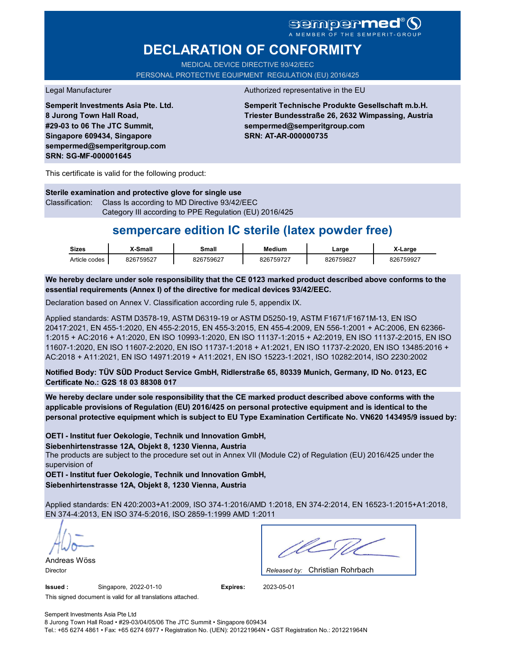A MEMBER OF THE SEMPERIT-GROUP

# **DECLARATION OF CONFORMITY**

MEDICAL DEVICE DIRECTIVE 93/42/EEC PERSONAL PROTECTIVE EQUIPMENT REGULATION (EU) 2016/425

**Semperit Investments Asia Pte. Ltd. 8 Jurong Town Hall Road, #29-03 to 06 The JTC Summit, Singapore 609434, Singapore sempermed@semperitgroup.com SRN: SG-MF-000001645**

#### Legal Manufacturer **Authorized representative in the EU**

**Semperit Technische Produkte Gesellschaft m.b.H. Triester Bundesstraße 26, 2632 Wimpassing, Austria sempermed@semperitgroup.com SRN: AT-AR-000000735**

This certificate is valid for the following product:

**Sterile examination and protective glove for single use** Classification: Class Is according to MD Directive 93/42/EEC Category III according to PPE Regulation (EU) 2016/425

## **sempercare edition IC sterile (latex powder free)**

| <b>Sizes</b>  | K-Small   | <b>3mall</b> | Medium    | _arge     | X-Large   |
|---------------|-----------|--------------|-----------|-----------|-----------|
| Article codes | 826759527 | 826759627    | 826759727 | 826759827 | 826759927 |

**We hereby declare under sole responsibility that the CE 0123 marked product described above conforms to the essential requirements (Annex I) of the directive for medical devices 93/42/EEC.**

Declaration based on Annex V. Classification according rule 5, appendix IX.

Applied standards: ASTM D3578-19, ASTM D6319-19 or ASTM D5250-19, ASTM F1671/F1671M-13, EN ISO 20417:2021, EN 455-1:2020, EN 455-2:2015, EN 455-3:2015, EN 455-4:2009, EN 556-1:2001 + AC:2006, EN 62366- 1:2015 + AC:2016 + A1:2020, EN ISO 10993-1:2020, EN ISO 11137-1:2015 + A2:2019, EN ISO 11137-2:2015, EN ISO 11607-1:2020, EN ISO 11607-2:2020, EN ISO 11737-1:2018 + A1:2021, EN ISO 11737-2:2020, EN ISO 13485:2016 + AC:2018 + A11:2021, EN ISO 14971:2019 + A11:2021, EN ISO 15223-1:2021, ISO 10282:2014, ISO 2230:2002

**Notified Body: TÜV SÜD Product Service GmbH, Ridlerstraße 65, 80339 Munich, Germany, ID No. 0123, EC Certificate No.: G2S 18 03 88308 017**

**We hereby declare under sole responsibility that the CE marked product described above conforms with the applicable provisions of Regulation (EU) 2016/425 on personal protective equipment and is identical to the personal protective equipment which is subject to EU Type Examination Certificate No. VN620 143495/9 issued by:**

### **OETI - Institut fuer Oekologie, Technik und Innovation GmbH,**

The products are subject to the procedure set out in Annex VII (Module C2) of Regulation (EU) 2016/425 under the supervision of **Siebenhirtenstrasse 12A, Objekt 8, 1230 Vienna, Austria**

**OETI - Institut fuer Oekologie, Technik und Innovation GmbH, Siebenhirtenstrasse 12A, Objekt 8, 1230 Vienna, Austria**

Applied standards: EN 420:2003+A1:2009, ISO 374-1:2016/AMD 1:2018, EN 374-2:2014, EN 16523-1:2015+A1:2018, EN 374-4:2013, EN ISO 374-5:2016, ISO 2859-1:1999 AMD 1:2011

Andreas Wöss

Christian Rohrbach Director *Released by:* 

**Issued :** Singapore, 2022-01-10 **Expires:** 2023-05-01

This signed document is valid for all translations attached.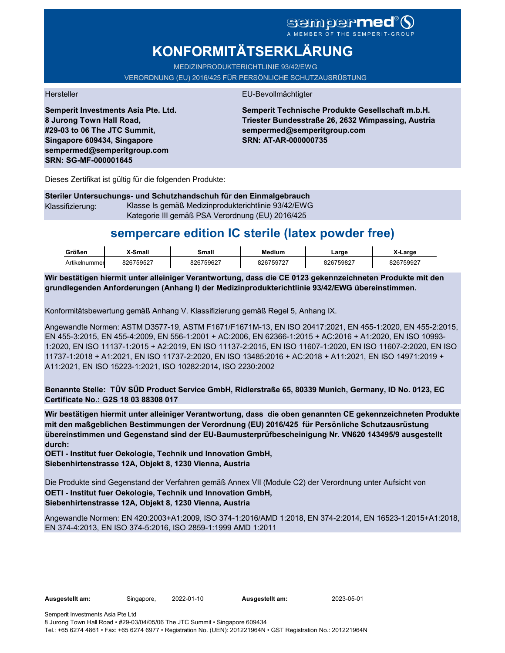# **sempermed**

# **KONFORMITÄTSERKLÄRUNG**

MEDIZINPRODUKTERICHTLINIE 93/42/EWG

VERORDNUNG (EU) 2016/425 FÜR PERSÖNLICHE SCHUTZAUSRÜSTUNG

Hersteller EU-Bevollmächtigter

**Semperit Investments Asia Pte. Ltd. 8 Jurong Town Hall Road, #29-03 to 06 The JTC Summit, Singapore 609434, Singapore sempermed@semperitgroup.com SRN: SG-MF-000001645**

**Semperit Technische Produkte Gesellschaft m.b.H. Triester Bundesstraße 26, 2632 Wimpassing, Austria sempermed@semperitgroup.com SRN: AT-AR-000000735**

Dieses Zertifikat ist gültig für die folgenden Produkte:

**Steriler Untersuchungs- und Schutzhandschuh für den Einmalgebrauch** Klassifizierung: Klasse Is gemäß Medizinprodukterichtlinie 93/42/EWG Kategorie III gemäß PSA Verordnung (EU) 2016/425

## **sempercare edition IC sterile (latex powder free)**

| Größen        | -Small    | <b>3mall</b> | Medium    | .arge            | _arge     |
|---------------|-----------|--------------|-----------|------------------|-----------|
| Artikelnummer | 826759527 | 826759627    | 326759727 | 126759827<br>326 | 826759927 |

**Wir bestätigen hiermit unter alleiniger Verantwortung, dass die CE 0123 gekennzeichneten Produkte mit den grundlegenden Anforderungen (Anhang I) der Medizinprodukterichtlinie 93/42/EWG übereinstimmen.**

Konformitätsbewertung gemäß Anhang V. Klassifizierung gemäß Regel 5, Anhang IX.

Angewandte Normen: ASTM D3577-19, ASTM F1671/F1671M-13, EN ISO 20417:2021, EN 455-1:2020, EN 455-2:2015, EN 455-3:2015, EN 455-4:2009, EN 556-1:2001 + AC:2006, EN 62366-1:2015 + AC:2016 + A1:2020, EN ISO 10993- 1:2020, EN ISO 11137-1:2015 + A2:2019, EN ISO 11137-2:2015, EN ISO 11607-1:2020, EN ISO 11607-2:2020, EN ISO 11737-1:2018 + A1:2021, EN ISO 11737-2:2020, EN ISO 13485:2016 + AC:2018 + A11:2021, EN ISO 14971:2019 + A11:2021, EN ISO 15223-1:2021, ISO 10282:2014, ISO 2230:2002

**Benannte Stelle: TÜV SÜD Product Service GmbH, Ridlerstraße 65, 80339 Munich, Germany, ID No. 0123, EC Certificate No.: G2S 18 03 88308 017**

**Wir bestätigen hiermit unter alleiniger Verantwortung, dass die oben genannten CE gekennzeichneten Produkte mit den maßgeblichen Bestimmungen der Verordnung (EU) 2016/425 für Persönliche Schutzausrüstung übereinstimmen und Gegenstand sind der EU-Baumusterprüfbescheinigung Nr. VN620 143495/9 ausgestellt durch:**

**OETI - Institut fuer Oekologie, Technik und Innovation GmbH, Siebenhirtenstrasse 12A, Objekt 8, 1230 Vienna, Austria**

Die Produkte sind Gegenstand der Verfahren gemäß Annex VII (Module C2) der Verordnung unter Aufsicht von **OETI - Institut fuer Oekologie, Technik und Innovation GmbH, Siebenhirtenstrasse 12A, Objekt 8, 1230 Vienna, Austria**

Angewandte Normen: EN 420:2003+A1:2009, ISO 374-1:2016/AMD 1:2018, EN 374-2:2014, EN 16523-1:2015+A1:2018, EN 374-4:2013, EN ISO 374-5:2016, ISO 2859-1:1999 AMD 1:2011

**Ausgestellt am:** Singapore, 2022-01-10 **Ausgestellt am:** 2023-05-01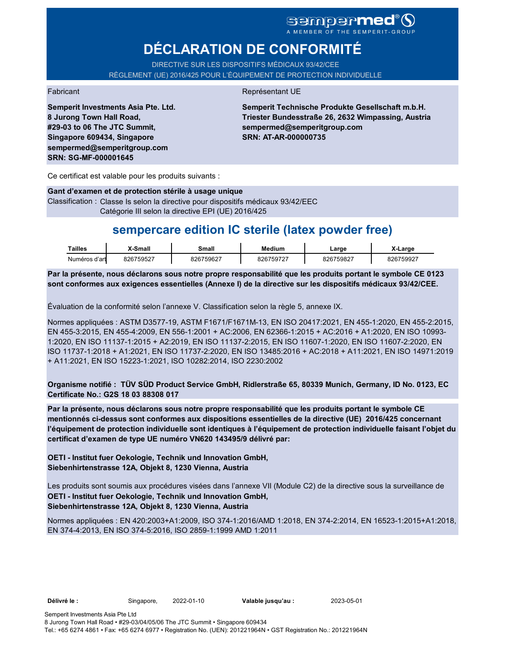### sempermed<sup>®</sup>Q A MEMBER OF THE SEMPERIT-GROUP

# **DÉCLARATION DE CONFORMITÉ**

DIRECTIVE SUR LES DISPOSITIFS MÉDICAUX 93/42/CEE RÈGLEMENT (UE) 2016/425 POUR L'ÉQUIPEMENT DE PROTECTION INDIVIDUELLE

### Fabricant Représentant UE

**Semperit Investments Asia Pte. Ltd. 8 Jurong Town Hall Road, #29-03 to 06 The JTC Summit, Singapore 609434, Singapore sempermed@semperitgroup.com SRN: SG-MF-000001645**

**Semperit Technische Produkte Gesellschaft m.b.H. Triester Bundesstraße 26, 2632 Wimpassing, Austria sempermed@semperitgroup.com SRN: AT-AR-000000735**

Ce certificat est valable pour les produits suivants :

**Gant d'examen et de protection stérile à usage unique**

Classification : Classe Is selon la directive pour dispositifs médicaux 93/42/EEC Catégorie III selon la directive EPI (UE) 2016/425

## **sempercare edition IC sterile (latex powder free)**

| Tailles       | X-Small   | <b>3mall</b> | Medium    | ∟arge     | X-Large   |
|---------------|-----------|--------------|-----------|-----------|-----------|
| Numéros d'art | 826759527 | 826759627    | 826759727 | 826759827 | 826759927 |

**Par la présente, nous déclarons sous notre propre responsabilité que les produits portant le symbole CE 0123 sont conformes aux exigences essentielles (Annexe I) de la directive sur les dispositifs médicaux 93/42/CEE.**

Évaluation de la conformité selon l'annexe V. Classification selon la règle 5, annexe IX.

Normes appliquées : ASTM D3577-19, ASTM F1671/F1671M-13, EN ISO 20417:2021, EN 455-1:2020, EN 455-2:2015, EN 455-3:2015, EN 455-4:2009, EN 556-1:2001 + AC:2006, EN 62366-1:2015 + AC:2016 + A1:2020, EN ISO 10993- 1:2020, EN ISO 11137-1:2015 + A2:2019, EN ISO 11137-2:2015, EN ISO 11607-1:2020, EN ISO 11607-2:2020, EN ISO 11737-1:2018 + A1:2021, EN ISO 11737-2:2020, EN ISO 13485:2016 + AC:2018 + A11:2021, EN ISO 14971:2019 + A11:2021, EN ISO 15223-1:2021, ISO 10282:2014, ISO 2230:2002

**Organisme notifié : TÜV SÜD Product Service GmbH, Ridlerstraße 65, 80339 Munich, Germany, ID No. 0123, EC Certificate No.: G2S 18 03 88308 017**

**Par la présente, nous déclarons sous notre propre responsabilité que les produits portant le symbole CE mentionnés ci-dessus sont conformes aux dispositions essentielles de la directive (UE) 2016/425 concernant l'équipement de protection individuelle sont identiques à l'équipement de protection individuelle faisant l'objet du certificat d'examen de type UE numéro VN620 143495/9 délivré par:**

**OETI - Institut fuer Oekologie, Technik und Innovation GmbH, Siebenhirtenstrasse 12A, Objekt 8, 1230 Vienna, Austria**

Les produits sont soumis aux procédures visées dans l'annexe VII (Module C2) de la directive sous la surveillance de **OETI - Institut fuer Oekologie, Technik und Innovation GmbH, Siebenhirtenstrasse 12A, Objekt 8, 1230 Vienna, Austria**

Normes appliquées : EN 420:2003+A1:2009, ISO 374-1:2016/AMD 1:2018, EN 374-2:2014, EN 16523-1:2015+A1:2018, EN 374-4:2013, EN ISO 374-5:2016, ISO 2859-1:1999 AMD 1:2011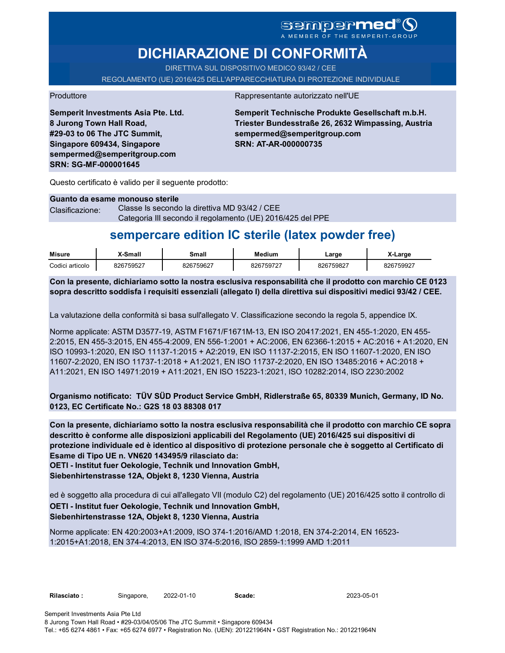# SGMDGP**Med®**<br>A MEMBER OF THE SEMPERIT-GROUP

# **DICHIARAZIONE DI CONFORMITÀ**

DIRETTIVA SUL DISPOSITIVO MEDICO 93/42 / CEE

REGOLAMENTO (UE) 2016/425 DELL'APPARECCHIATURA DI PROTEZIONE INDIVIDUALE

Produttore **Rappresentante autorizzato nell'UE** 

**Semperit Investments Asia Pte. Ltd. 8 Jurong Town Hall Road, #29-03 to 06 The JTC Summit, Singapore 609434, Singapore sempermed@semperitgroup.com SRN: SG-MF-000001645**

**Semperit Technische Produkte Gesellschaft m.b.H. Triester Bundesstraße 26, 2632 Wimpassing, Austria sempermed@semperitgroup.com SRN: AT-AR-000000735**

Questo certificato è valido per il seguente prodotto:

#### **Guanto da esame monouso sterile**

Clasificazione: Classe Is secondo la direttiva MD 93/42 / CEE Categoria III secondo il regolamento (UE) 2016/425 del PPE

## **sempercare edition IC sterile (latex powder free)**

| <b>Misure</b>   | X-Small   | Small     | <b>Medium</b> | Large     | X-Large   |
|-----------------|-----------|-----------|---------------|-----------|-----------|
| Codici articolo | 826759527 | 826759627 | 826759727     | 826759827 | 826759927 |

**Con la presente, dichiariamo sotto la nostra esclusiva responsabilità che il prodotto con marchio CE 0123 sopra descritto soddisfa i requisiti essenziali (allegato I) della direttiva sui dispositivi medici 93/42 / CEE.**

La valutazione della conformità si basa sull'allegato V. Classificazione secondo la regola 5, appendice IX.

Norme applicate: ASTM D3577-19, ASTM F1671/F1671M-13, EN ISO 20417:2021, EN 455-1:2020, EN 455- 2:2015, EN 455-3:2015, EN 455-4:2009, EN 556-1:2001 + AC:2006, EN 62366-1:2015 + AC:2016 + A1:2020, EN ISO 10993-1:2020, EN ISO 11137-1:2015 + A2:2019, EN ISO 11137-2:2015, EN ISO 11607-1:2020, EN ISO 11607-2:2020, EN ISO 11737-1:2018 + A1:2021, EN ISO 11737-2:2020, EN ISO 13485:2016 + AC:2018 + A11:2021, EN ISO 14971:2019 + A11:2021, EN ISO 15223-1:2021, ISO 10282:2014, ISO 2230:2002

**Organismo notificato: TÜV SÜD Product Service GmbH, Ridlerstraße 65, 80339 Munich, Germany, ID No. 0123, EC Certificate No.: G2S 18 03 88308 017**

**Con la presente, dichiariamo sotto la nostra esclusiva responsabilità che il prodotto con marchio CE sopra descritto è conforme alle disposizioni applicabili del Regolamento (UE) 2016/425 sui dispositivi di protezione individuale ed è identico al dispositivo di protezione personale che è soggetto al Certificato di Esame di Tipo UE n. VN620 143495/9 rilasciato da:**

**OETI - Institut fuer Oekologie, Technik und Innovation GmbH,** 

**Siebenhirtenstrasse 12A, Objekt 8, 1230 Vienna, Austria**

ed è soggetto alla procedura di cui all'allegato VII (modulo C2) del regolamento (UE) 2016/425 sotto il controllo di **OETI - Institut fuer Oekologie, Technik und Innovation GmbH, Siebenhirtenstrasse 12A, Objekt 8, 1230 Vienna, Austria**

Norme applicate: EN 420:2003+A1:2009, ISO 374-1:2016/AMD 1:2018, EN 374-2:2014, EN 16523- 1:2015+A1:2018, EN 374-4:2013, EN ISO 374-5:2016, ISO 2859-1:1999 AMD 1:2011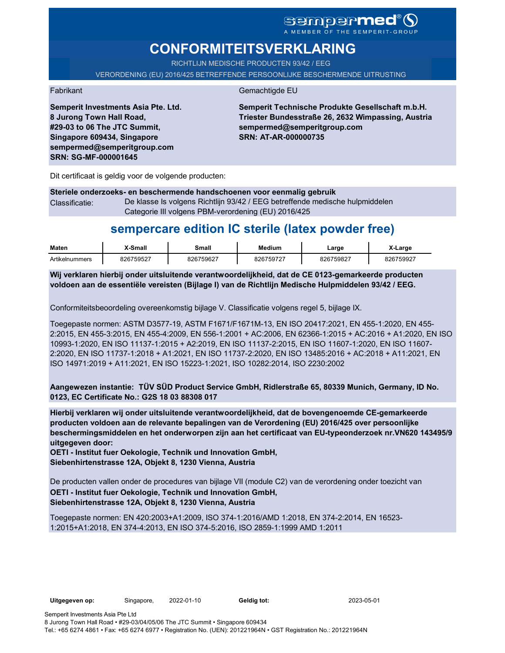### sempermed®9 A MEMBER OF THE SEMPERIT-GROUP

# **CONFORMITEITSVERKLARING**

RICHTLIJN MEDISCHE PRODUCTEN 93/42 / EEG

VERORDENING (EU) 2016/425 BETREFFENDE PERSOONLIJKE BESCHERMENDE UITRUSTING

Fabrikant Gemachtigde EU

**Semperit Technische Produkte Gesellschaft m.b.H. Triester Bundesstraße 26, 2632 Wimpassing, Austria sempermed@semperitgroup.com SRN: AT-AR-000000735**

Dit certificaat is geldig voor de volgende producten:

**Semperit Investments Asia Pte. Ltd.**

**8 Jurong Town Hall Road, #29-03 to 06 The JTC Summit, Singapore 609434, Singapore sempermed@semperitgroup.com**

**SRN: SG-MF-000001645**

**Steriele onderzoeks- en beschermende handschoenen voor eenmalig gebruik** Classificatie: De klasse Is volgens Richtlijn 93/42 / EEG betreffende medische hulpmiddelen Categorie III volgens PBM-verordening (EU) 2016/425

# **sempercare edition IC sterile (latex powder free)**

| <b>Maten</b>   | X-Small   | Small     | <b>Medium</b> | Large     | X-Large   |
|----------------|-----------|-----------|---------------|-----------|-----------|
| Artikelnummers | 826759527 | 826759627 | 826759727     | 826759827 | 826759927 |

**Wij verklaren hierbij onder uitsluitende verantwoordelijkheid, dat de CE 0123-gemarkeerde producten voldoen aan de essentiële vereisten (Bijlage I) van de Richtlijn Medische Hulpmiddelen 93/42 / EEG.**

Conformiteitsbeoordeling overeenkomstig bijlage V. Classificatie volgens regel 5, bijlage IX.

Toegepaste normen: ASTM D3577-19, ASTM F1671/F1671M-13, EN ISO 20417:2021, EN 455-1:2020, EN 455- 2:2015, EN 455-3:2015, EN 455-4:2009, EN 556-1:2001 + AC:2006, EN 62366-1:2015 + AC:2016 + A1:2020, EN ISO 10993-1:2020, EN ISO 11137-1:2015 + A2:2019, EN ISO 11137-2:2015, EN ISO 11607-1:2020, EN ISO 11607- 2:2020, EN ISO 11737-1:2018 + A1:2021, EN ISO 11737-2:2020, EN ISO 13485:2016 + AC:2018 + A11:2021, EN ISO 14971:2019 + A11:2021, EN ISO 15223-1:2021, ISO 10282:2014, ISO 2230:2002

**Aangewezen instantie: TÜV SÜD Product Service GmbH, Ridlerstraße 65, 80339 Munich, Germany, ID No. 0123, EC Certificate No.: G2S 18 03 88308 017**

**Hierbij verklaren wij onder uitsluitende verantwoordelijkheid, dat de bovengenoemde CE-gemarkeerde producten voldoen aan de relevante bepalingen van de Verordening (EU) 2016/425 over persoonlijke beschermingsmiddelen en het onderworpen zijn aan het certificaat van EU-typeonderzoek nr.VN620 143495/9 uitgegeven door:**

**OETI - Institut fuer Oekologie, Technik und Innovation GmbH, Siebenhirtenstrasse 12A, Objekt 8, 1230 Vienna, Austria**

De producten vallen onder de procedures van bijlage VII (module C2) van de verordening onder toezicht van **OETI - Institut fuer Oekologie, Technik und Innovation GmbH, Siebenhirtenstrasse 12A, Objekt 8, 1230 Vienna, Austria**

Toegepaste normen: EN 420:2003+A1:2009, ISO 374-1:2016/AMD 1:2018, EN 374-2:2014, EN 16523- 1:2015+A1:2018, EN 374-4:2013, EN ISO 374-5:2016, ISO 2859-1:1999 AMD 1:2011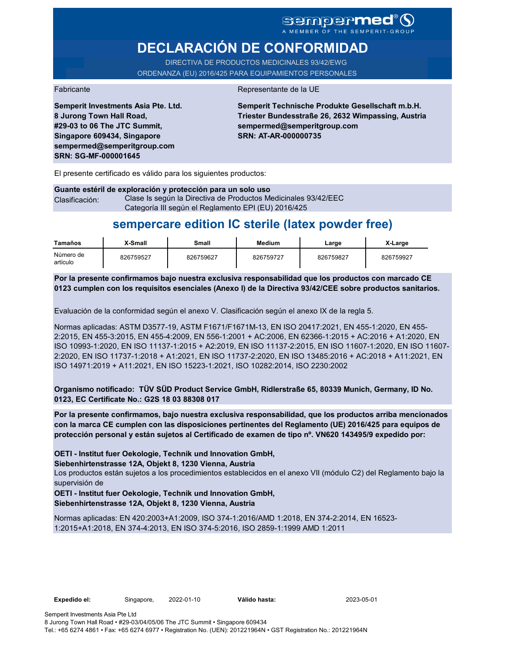### sempermed<sup>®</sup> Q A MEMBER OF THE SEMPERIT-GROUP

# **DECLARACIÓN DE CONFORMIDAD**

DIRECTIVA DE PRODUCTOS MEDICINALES 93/42/EWG ORDENANZA (EU) 2016/425 PARA EQUIPAMIENTOS PERSONALES

#### Fabricante de la UE de la UE de la UE de la UE de la UE de la UE de la UE de la UE de la UE de la UE de la UE

**Semperit Investments Asia Pte. Ltd. 8 Jurong Town Hall Road, #29-03 to 06 The JTC Summit, Singapore 609434, Singapore sempermed@semperitgroup.com SRN: SG-MF-000001645**

**Semperit Technische Produkte Gesellschaft m.b.H. Triester Bundesstraße 26, 2632 Wimpassing, Austria sempermed@semperitgroup.com SRN: AT-AR-000000735**

El presente certificado es válido para los siguientes productos:

**Guante estéril de exploración y protección para un solo uso** Clasificación: Clase Is según la Directiva de Productos Medicinales 93/42/EEC Categoría III según el Reglamento EPI (EU) 2016/425

# **sempercare edition IC sterile (latex powder free)**

| Tamaños               | X-Small   | Small     | <b>Medium</b> | ∟arge     | X-Large   |
|-----------------------|-----------|-----------|---------------|-----------|-----------|
| Número de<br>artículo | 826759527 | 826759627 | 826759727     | 826759827 | 826759927 |

**Por la presente confirmamos bajo nuestra exclusiva responsabilidad que los productos con marcado CE 0123 cumplen con los requisitos esenciales (Anexo I) de la Directiva 93/42/CEE sobre productos sanitarios.**

Evaluación de la conformidad según el anexo V. Clasificación según el anexo IX de la regla 5.

Normas aplicadas: ASTM D3577-19, ASTM F1671/F1671M-13, EN ISO 20417:2021, EN 455-1:2020, EN 455- 2:2015, EN 455-3:2015, EN 455-4:2009, EN 556-1:2001 + AC:2006, EN 62366-1:2015 + AC:2016 + A1:2020, EN ISO 10993-1:2020, EN ISO 11137-1:2015 + A2:2019, EN ISO 11137-2:2015, EN ISO 11607-1:2020, EN ISO 11607- 2:2020, EN ISO 11737-1:2018 + A1:2021, EN ISO 11737-2:2020, EN ISO 13485:2016 + AC:2018 + A11:2021, EN ISO 14971:2019 + A11:2021, EN ISO 15223-1:2021, ISO 10282:2014, ISO 2230:2002

**Organismo notificado: TÜV SÜD Product Service GmbH, Ridlerstraße 65, 80339 Munich, Germany, ID No. 0123, EC Certificate No.: G2S 18 03 88308 017**

**Por la presente confirmamos, bajo nuestra exclusiva responsabilidad, que los productos arriba mencionados con la marca CE cumplen con las disposiciones pertinentes del Reglamento (UE) 2016/425 para equipos de protección personal y están sujetos al Certificado de examen de tipo nº. VN620 143495/9 expedido por:**

**OETI - Institut fuer Oekologie, Technik und Innovation GmbH,** 

**Siebenhirtenstrasse 12A, Objekt 8, 1230 Vienna, Austria**

Los productos están sujetos a los procedimientos establecidos en el anexo VII (módulo C2) del Reglamento bajo la supervisión de

**OETI - Institut fuer Oekologie, Technik und Innovation GmbH, Siebenhirtenstrasse 12A, Objekt 8, 1230 Vienna, Austria**

Normas aplicadas: EN 420:2003+A1:2009, ISO 374-1:2016/AMD 1:2018, EN 374-2:2014, EN 16523- 1:2015+A1:2018, EN 374-4:2013, EN ISO 374-5:2016, ISO 2859-1:1999 AMD 1:2011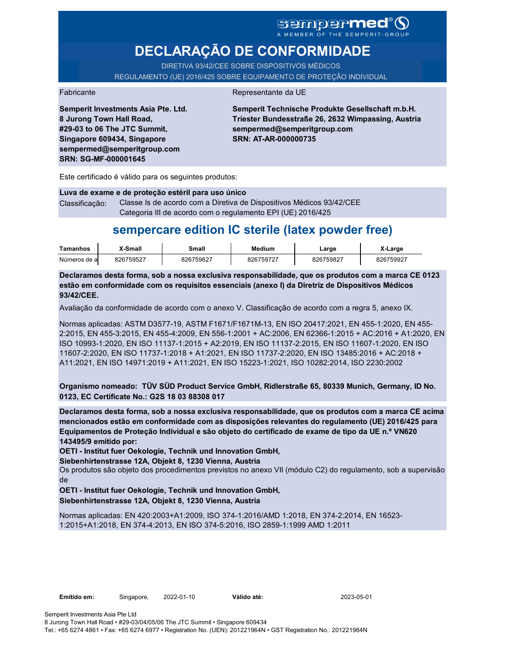### **Sempermed** A MEMBER OF THE SEMPERIT-

# **DECLARAÇÃO DE CONFORMIDADE**

DIRETIVA 93/42/CEE SOBRE DISPOSITIVOS MÉDICOS REGULAMENTO (UE) 2016/425 SOBRE EQUIPAMENTO DE PROTEÇÃO INDIVIDUAL

#### Fabricante da UE

**Semperit Investments Asia Pte. Ltd. 8 Jurong Town Hall Road, #29-03 to 06 The JTC Summit, Singapore 609434, Singapore sempermed@semperitgroup.com SRN: SG-MF-000001645**

**Semperit Technische Produkte Gesellschaft m.b.H. Triester Bundesstraße 26, 2632 Wimpassing, Austria sempermed@semperitgroup.com SRN: AT-AR-000000735**

Este certificado é válido para os seguintes produtos:

**Luva de exame e de proteção estéril para uso único** Classificação: Classe Is de acordo com a Diretiva de Dispositivos Médicos 93/42/CEE Categoria III de acordo com o regulamento EPI (UE) 2016/425

## **sempercare edition IC sterile (latex powder free)**

| Tamanhos     | X-Small   | Small     | Medium   | _arge     | X-Large   |
|--------------|-----------|-----------|----------|-----------|-----------|
| Números de a | 826759527 | 826759627 | 82675972 | 826759827 | 826759927 |

**Declaramos desta forma, sob a nossa exclusiva responsabilidade, que os produtos com a marca CE 0123 estão em conformidade com os requisitos essenciais (anexo I) da Diretriz de Dispositivos Médicos 93/42/CEE.**

Avaliação da conformidade de acordo com o anexo V. Classificação de acordo com a regra 5, anexo IX.

Normas aplicadas: ASTM D3577-19, ASTM F1671/F1671M-13, EN ISO 20417:2021, EN 455-1:2020, EN 455- 2:2015, EN 455-3:2015, EN 455-4:2009, EN 556-1:2001 + AC:2006, EN 62366-1:2015 + AC:2016 + A1:2020, EN ISO 10993-1:2020, EN ISO 11137-1:2015 + A2:2019, EN ISO 11137-2:2015, EN ISO 11607-1:2020, EN ISO 11607-2:2020, EN ISO 11737-1:2018 + A1:2021, EN ISO 11737-2:2020, EN ISO 13485:2016 + AC:2018 + A11:2021, EN ISO 14971:2019 + A11:2021, EN ISO 15223-1:2021, ISO 10282:2014, ISO 2230:2002

**Organismo nomeado: TÜV SÜD Product Service GmbH, Ridlerstraße 65, 80339 Munich, Germany, ID No. 0123, EC Certificate No.: G2S 18 03 88308 017**

**Declaramos desta forma, sob a nossa exclusiva responsabilidade, que os produtos com a marca CE acima mencionados estão em conformidade com as disposições relevantes do regulamento (UE) 2016/425 para Equipamentos de Proteção Individual e são objeto do certificado de exame de tipo da UE n.º VN620 143495/9 emitido por:**

**OETI - Institut fuer Oekologie, Technik und Innovation GmbH,** 

**Siebenhirtenstrasse 12A, Objekt 8, 1230 Vienna, Austria**

Os produtos são objeto dos procedimentos previstos no anexo VII (módulo C2) do regulamento, sob a supervisão de

**OETI - Institut fuer Oekologie, Technik und Innovation GmbH, Siebenhirtenstrasse 12A, Objekt 8, 1230 Vienna, Austria**

Normas aplicadas: EN 420:2003+A1:2009, ISO 374-1:2016/AMD 1:2018, EN 374-2:2014, EN 16523- 1:2015+A1:2018, EN 374-4:2013, EN ISO 374-5:2016, ISO 2859-1:1999 AMD 1:2011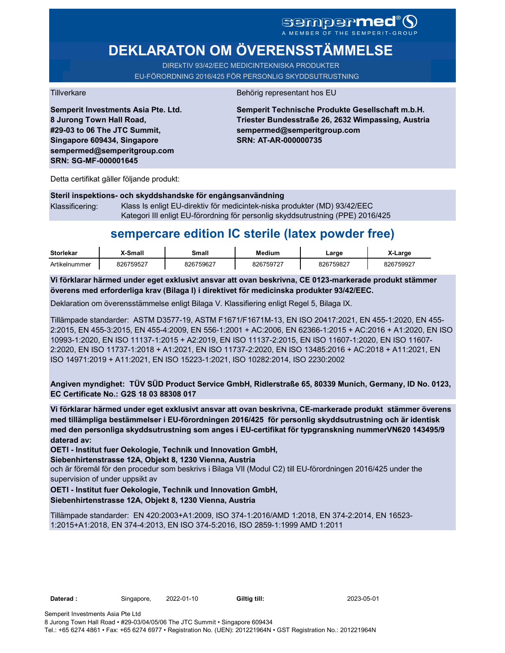# SCMDCPMED

**DEKLARATON OM ÖVERENSSTÄMMELSE** 

DIREkTIV 93/42/EEC MEDICINTEKNISKA PRODUKTER EU-FÖRORDNING 2016/425 FÖR PERSONLIG SKYDDSUTRUSTNING

Tillverkare Behörig representant hos EU

**Semperit Investments Asia Pte. Ltd. 8 Jurong Town Hall Road, #29-03 to 06 The JTC Summit, Singapore 609434, Singapore sempermed@semperitgroup.com SRN: SG-MF-000001645**

**Semperit Technische Produkte Gesellschaft m.b.H. Triester Bundesstraße 26, 2632 Wimpassing, Austria sempermed@semperitgroup.com SRN: AT-AR-000000735**

Detta certifikat gäller följande produkt:

### **Steril inspektions- och skyddshandske för engångsanvändning**

Klassificering: Klass Is enligt EU-direktiv för medicintek-niska produkter (MD) 93/42/EEC Kategori III enligt EU-förordning för personlig skyddsutrustning (PPE) 2016/425

## **sempercare edition IC sterile (latex powder free)**

| <b>Storlekar</b> | <b>X-Small</b> | Small     | <b>Medium</b> | ∟arge     | X-Large   |
|------------------|----------------|-----------|---------------|-----------|-----------|
| Artikelnummer    | 826759527      | 826759627 | 826759727     | 826759827 | 826759927 |

**Vi förklarar härmed under eget exklusivt ansvar att ovan beskrivna, CE 0123-markerade produkt stämmer överens med erforderliga krav (Bilaga I) i direktivet för medicinska produkter 93/42/EEC.**

Deklaration om överensstämmelse enligt Bilaga V. Klassifiering enligt Regel 5, Bilaga IX.

Tillämpade standarder: ASTM D3577-19, ASTM F1671/F1671M-13, EN ISO 20417:2021, EN 455-1:2020, EN 455- 2:2015, EN 455-3:2015, EN 455-4:2009, EN 556-1:2001 + AC:2006, EN 62366-1:2015 + AC:2016 + A1:2020, EN ISO 10993-1:2020, EN ISO 11137-1:2015 + A2:2019, EN ISO 11137-2:2015, EN ISO 11607-1:2020, EN ISO 11607- 2:2020, EN ISO 11737-1:2018 + A1:2021, EN ISO 11737-2:2020, EN ISO 13485:2016 + AC:2018 + A11:2021, EN ISO 14971:2019 + A11:2021, EN ISO 15223-1:2021, ISO 10282:2014, ISO 2230:2002

**Angiven myndighet: TÜV SÜD Product Service GmbH, Ridlerstraße 65, 80339 Munich, Germany, ID No. 0123, EC Certificate No.: G2S 18 03 88308 017**

**Vi förklarar härmed under eget exklusivt ansvar att ovan beskrivna, CE-markerade produkt stämmer överens med tillämpliga bestämmelser i EU-förordningen 2016/425 för personlig skyddsutrustning och är identisk med den personliga skyddsutrustning som anges i EU-certifikat för typgranskning nummerVN620 143495/9 daterad av:**

**OETI - Institut fuer Oekologie, Technik und Innovation GmbH,** 

**Siebenhirtenstrasse 12A, Objekt 8, 1230 Vienna, Austria**

och är föremål för den procedur som beskrivs i Bilaga VII (Modul C2) till EU-förordningen 2016/425 under the supervision of under uppsikt av

**OETI - Institut fuer Oekologie, Technik und Innovation GmbH, Siebenhirtenstrasse 12A, Objekt 8, 1230 Vienna, Austria**

Tillämpade standarder: EN 420:2003+A1:2009, ISO 374-1:2016/AMD 1:2018, EN 374-2:2014, EN 16523- 1:2015+A1:2018, EN 374-4:2013, EN ISO 374-5:2016, ISO 2859-1:1999 AMD 1:2011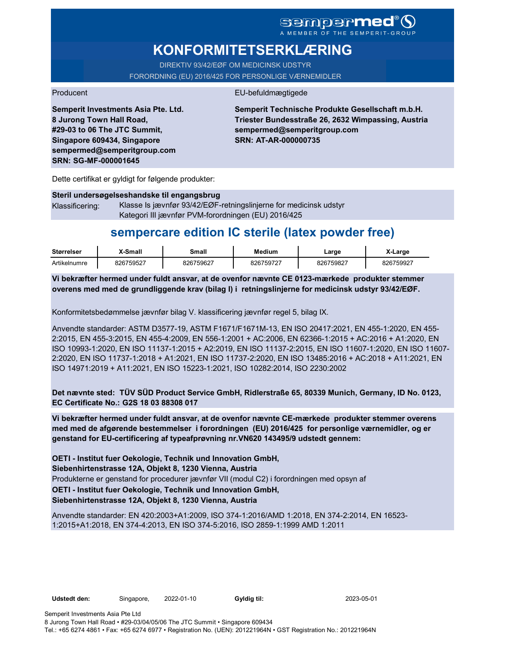# sempermed<sup>®</sup>Q

# **KONFORMITETSERKLÆRING**

DIREKTIV 93/42/EØF OM MEDICINSK UDSTYR FORORDNING (EU) 2016/425 FOR PERSONLIGE VÆRNEMIDLER

### Producent **EU-befuldmægtigede**

**Semperit Investments Asia Pte. Ltd. 8 Jurong Town Hall Road, #29-03 to 06 The JTC Summit, Singapore 609434, Singapore sempermed@semperitgroup.com SRN: SG-MF-000001645**

**Semperit Technische Produkte Gesellschaft m.b.H. Triester Bundesstraße 26, 2632 Wimpassing, Austria sempermed@semperitgroup.com SRN: AT-AR-000000735**

Dette certifikat er gyldigt for følgende produkter:

**Steril undersøgelseshandske til engangsbrug** Klassificering: Klasse Is jævnfør 93/42/EØF-retningslinjerne for medicinsk udstyr Kategori III jævnfør PVM-forordningen (EU) 2016/425

## **sempercare edition IC sterile (latex powder free)**

| <b>Størrelser</b> | X-Small   | Small     | Medium    | Large     | ∡-Large   |
|-------------------|-----------|-----------|-----------|-----------|-----------|
| Artikelnumre      | 826759527 | 826759627 | 826759727 | 826759827 | 826759927 |

**Vi bekræfter hermed under fuldt ansvar, at de ovenfor nævnte CE 0123-mærkede produkter stemmer overens med med de grundliggende krav (bilag I) i retningslinjerne for medicinsk udstyr 93/42/EØF.**

Konformitetsbedømmelse jævnfør bilag V. klassificering jævnfør regel 5, bilag IX.

Anvendte standarder: ASTM D3577-19, ASTM F1671/F1671M-13, EN ISO 20417:2021, EN 455-1:2020, EN 455- 2:2015, EN 455-3:2015, EN 455-4:2009, EN 556-1:2001 + AC:2006, EN 62366-1:2015 + AC:2016 + A1:2020, EN ISO 10993-1:2020, EN ISO 11137-1:2015 + A2:2019, EN ISO 11137-2:2015, EN ISO 11607-1:2020, EN ISO 11607- 2:2020, EN ISO 11737-1:2018 + A1:2021, EN ISO 11737-2:2020, EN ISO 13485:2016 + AC:2018 + A11:2021, EN ISO 14971:2019 + A11:2021, EN ISO 15223-1:2021, ISO 10282:2014, ISO 2230:2002

**Det nævnte sted: TÜV SÜD Product Service GmbH, Ridlerstraße 65, 80339 Munich, Germany, ID No. 0123, EC Certificate No.: G2S 18 03 88308 017**

**Vi bekræfter hermed under fuldt ansvar, at de ovenfor nævnte CE-mærkede produkter stemmer overens med med de afgørende bestemmelser i forordningen (EU) 2016/425 for personlige værnemidler, og er genstand for EU-certificering af typeafprøvning nr.VN620 143495/9 udstedt gennem:**

Produkterne er genstand for procedurer jævnfør VII (modul C2) i forordningen med opsyn af **OETI - Institut fuer Oekologie, Technik und Innovation GmbH, Siebenhirtenstrasse 12A, Objekt 8, 1230 Vienna, Austria**

**OETI - Institut fuer Oekologie, Technik und Innovation GmbH, Siebenhirtenstrasse 12A, Objekt 8, 1230 Vienna, Austria**

Anvendte standarder: EN 420:2003+A1:2009, ISO 374-1:2016/AMD 1:2018, EN 374-2:2014, EN 16523- 1:2015+A1:2018, EN 374-4:2013, EN ISO 374-5:2016, ISO 2859-1:1999 AMD 1:2011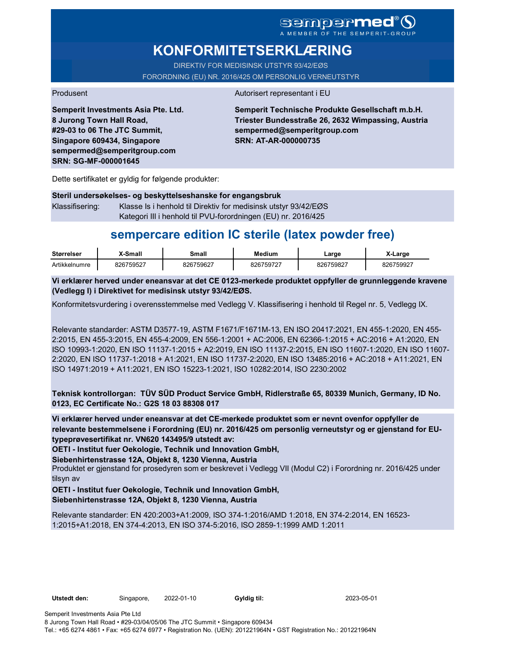**KONFORMITETSERKLÆRING**

DIREKTIV FOR MEDISINSK UTSTYR 93/42/EØS FORORDNING (EU) NR. 2016/425 OM PERSONLIG VERNEUTSTYR

Produsent Autorisert representant i EU

**Semperit Investments Asia Pte. Ltd. 8 Jurong Town Hall Road, #29-03 to 06 The JTC Summit, Singapore 609434, Singapore sempermed@semperitgroup.com SRN: SG-MF-000001645**

**Semperit Technische Produkte Gesellschaft m.b.H. Triester Bundesstraße 26, 2632 Wimpassing, Austria sempermed@semperitgroup.com SRN: AT-AR-000000735**

Dette sertifikatet er gyldig for følgende produkter:

**Steril undersøkelses- og beskyttelseshanske for engangsbruk** Klassifisering: Klasse Is i henhold til Direktiv for medisinsk utstyr 93/42/EØS Kategori III i henhold til PVU-forordningen (EU) nr. 2016/425

## **sempercare edition IC sterile (latex powder free)**

| <b>Størrelser</b> | -Small    | Small     | <b>Medium</b> | ∟arge     | X-Large   |
|-------------------|-----------|-----------|---------------|-----------|-----------|
| Artikkelnumre     | 826759527 | 826759627 | 826759727     | 826759827 | 826759927 |

**Vi erklærer herved under eneansvar at det CE 0123-merkede produktet oppfyller de grunnleggende kravene (Vedlegg I) i Direktivet for medisinsk utstyr 93/42/EØS.**

Konformitetsvurdering i overensstemmelse med Vedlegg V. Klassifisering i henhold til Regel nr. 5, Vedlegg IX.

Relevante standarder: ASTM D3577-19, ASTM F1671/F1671M-13, EN ISO 20417:2021, EN 455-1:2020, EN 455- 2:2015, EN 455-3:2015, EN 455-4:2009, EN 556-1:2001 + AC:2006, EN 62366-1:2015 + AC:2016 + A1:2020, EN ISO 10993-1:2020, EN ISO 11137-1:2015 + A2:2019, EN ISO 11137-2:2015, EN ISO 11607-1:2020, EN ISO 11607- 2:2020, EN ISO 11737-1:2018 + A1:2021, EN ISO 11737-2:2020, EN ISO 13485:2016 + AC:2018 + A11:2021, EN ISO 14971:2019 + A11:2021, EN ISO 15223-1:2021, ISO 10282:2014, ISO 2230:2002

**Teknisk kontrollorgan: TÜV SÜD Product Service GmbH, Ridlerstraße 65, 80339 Munich, Germany, ID No. 0123, EC Certificate No.: G2S 18 03 88308 017**

**Vi erklærer herved under eneansvar at det CE-merkede produktet som er nevnt ovenfor oppfyller de relevante bestemmelsene i Forordning (EU) nr. 2016/425 om personlig verneutstyr og er gjenstand for EUtypeprøvesertifikat nr. VN620 143495/9 utstedt av:**

**OETI - Institut fuer Oekologie, Technik und Innovation GmbH,** 

**Siebenhirtenstrasse 12A, Objekt 8, 1230 Vienna, Austria**

Produktet er gjenstand for prosedyren som er beskrevet i Vedlegg VII (Modul C2) i Forordning nr. 2016/425 under tilsyn av

**OETI - Institut fuer Oekologie, Technik und Innovation GmbH, Siebenhirtenstrasse 12A, Objekt 8, 1230 Vienna, Austria**

Relevante standarder: EN 420:2003+A1:2009, ISO 374-1:2016/AMD 1:2018, EN 374-2:2014, EN 16523- 1:2015+A1:2018, EN 374-4:2013, EN ISO 374-5:2016, ISO 2859-1:1999 AMD 1:2011

Semperit Investments Asia Pte Ltd 8 Jurong Town Hall Road • #29-03/04/05/06 The JTC Summit • Singapore 609434 Tel.: +65 6274 4861 • Fax: +65 6274 6977 • Registration No. (UEN): 201221964N • GST Registration No.: 201221964N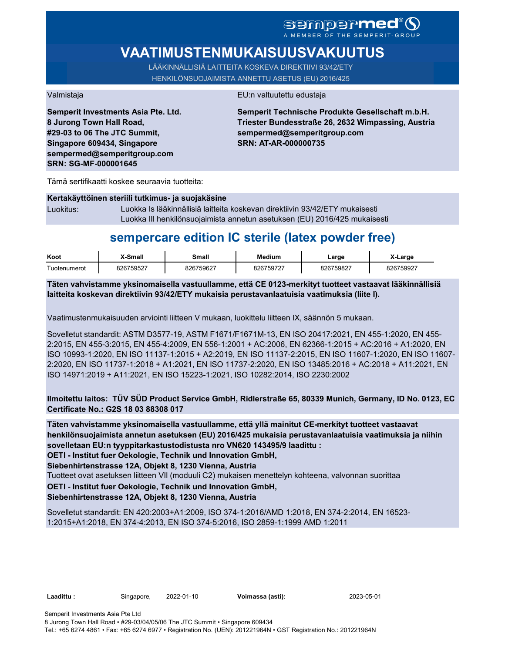A MEMBER OF THE SEMPERIT-GROUP

# **VAATIMUSTENMUKAISUUSVAKUUTUS**

LÄÄKINNÄLLISIÄ LAITTEITA KOSKEVA DIREKTIIVI 93/42/ETY HENKILÖNSUOJAIMISTA ANNETTU ASETUS (EU) 2016/425

Valmistaja EU:n valtuutettu edustaja

**Semperit Investments Asia Pte. Ltd. 8 Jurong Town Hall Road, #29-03 to 06 The JTC Summit, Singapore 609434, Singapore sempermed@semperitgroup.com SRN: SG-MF-000001645**

**Semperit Technische Produkte Gesellschaft m.b.H. Triester Bundesstraße 26, 2632 Wimpassing, Austria sempermed@semperitgroup.com SRN: AT-AR-000000735**

Tämä sertifikaatti koskee seuraavia tuotteita:

| Kertakäyttöinen steriili tutkimus- ja suojakäsine |                                                                              |  |  |  |  |  |
|---------------------------------------------------|------------------------------------------------------------------------------|--|--|--|--|--|
| Luokitus:                                         | Luokka Is lääkinnällisiä laitteita koskevan direktiivin 93/42/ETY mukaisesti |  |  |  |  |  |
|                                                   | Luokka III henkilönsuojaimista annetun asetuksen (EU) 2016/425 mukaisesti    |  |  |  |  |  |

## **sempercare edition IC sterile (latex powder free)**

| Koot               | X-Small   | Smal      | <b>Medium</b> | Large     | ∡-Large   |
|--------------------|-----------|-----------|---------------|-----------|-----------|
| -<br>l uotenumerot | 826759527 | 826759627 | 826759727     | 826759827 | 826759927 |

**Täten vahvistamme yksinomaisella vastuullamme, että CE 0123-merkityt tuotteet vastaavat lääkinnällisiä laitteita koskevan direktiivin 93/42/ETY mukaisia perustavanlaatuisia vaatimuksia (liite I).**

Vaatimustenmukaisuuden arviointi liitteen V mukaan, luokittelu liitteen IX, säännön 5 mukaan.

Sovelletut standardit: ASTM D3577-19, ASTM F1671/F1671M-13, EN ISO 20417:2021, EN 455-1:2020, EN 455- 2:2015, EN 455-3:2015, EN 455-4:2009, EN 556-1:2001 + AC:2006, EN 62366-1:2015 + AC:2016 + A1:2020, EN ISO 10993-1:2020, EN ISO 11137-1:2015 + A2:2019, EN ISO 11137-2:2015, EN ISO 11607-1:2020, EN ISO 11607- 2:2020, EN ISO 11737-1:2018 + A1:2021, EN ISO 11737-2:2020, EN ISO 13485:2016 + AC:2018 + A11:2021, EN ISO 14971:2019 + A11:2021, EN ISO 15223-1:2021, ISO 10282:2014, ISO 2230:2002

**Ilmoitettu laitos: TÜV SÜD Product Service GmbH, Ridlerstraße 65, 80339 Munich, Germany, ID No. 0123, EC Certificate No.: G2S 18 03 88308 017**

**Täten vahvistamme yksinomaisella vastuullamme, että yllä mainitut CE-merkityt tuotteet vastaavat henkilönsuojaimista annetun asetuksen (EU) 2016/425 mukaisia perustavanlaatuisia vaatimuksia ja niihin sovelletaan EU:n tyyppitarkastustodistusta nro VN620 143495/9 laadittu :**

**OETI - Institut fuer Oekologie, Technik und Innovation GmbH,** 

**Siebenhirtenstrasse 12A, Objekt 8, 1230 Vienna, Austria**

Tuotteet ovat asetuksen liitteen VII (moduuli C2) mukaisen menettelyn kohteena, valvonnan suorittaa

### **OETI - Institut fuer Oekologie, Technik und Innovation GmbH,**

### **Siebenhirtenstrasse 12A, Objekt 8, 1230 Vienna, Austria**

Sovelletut standardit: EN 420:2003+A1:2009, ISO 374-1:2016/AMD 1:2018, EN 374-2:2014, EN 16523- 1:2015+A1:2018, EN 374-4:2013, EN ISO 374-5:2016, ISO 2859-1:1999 AMD 1:2011

**Laadittu :** Singapore, 2022-01-10 **Voimassa (asti):** 2023-05-01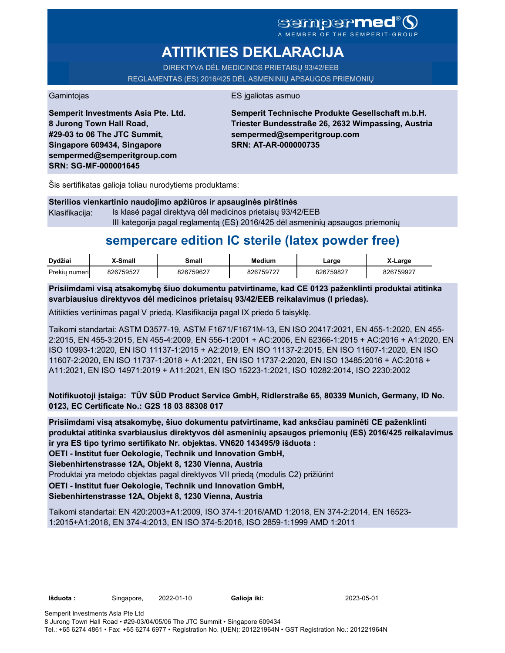### **Sempermed** MEMBER OF THE SEMPERIT-GROUP

# **ATITIKTIES DEKLARACIJA**

DIREKTYVA DĖL MEDICINOS PRIETAISŲ 93/42/EEB REGLAMENTAS (ES) 2016/425 DĖL ASMENINIŲ APSAUGOS PRIEMONIŲ

Gamintojas **ES** jgaliotas asmuo

**Semperit Investments Asia Pte. Ltd. 8 Jurong Town Hall Road, #29-03 to 06 The JTC Summit, Singapore 609434, Singapore sempermed@semperitgroup.com SRN: SG-MF-000001645**

**Semperit Technische Produkte Gesellschaft m.b.H. Triester Bundesstraße 26, 2632 Wimpassing, Austria sempermed@semperitgroup.com SRN: AT-AR-000000735**

Šis sertifikatas galioja toliau nurodytiems produktams:

### **Sterilios vienkartinio naudojimo apžiūros ir apsauginės pirštinės**

Klasifikacija: Is klasė pagal direktyvą dėl medicinos prietaisų 93/42/EEB III kategorija pagal reglamentą (ES) 2016/425 dėl asmeninių apsaugos priemonių

# **sempercare edition IC sterile (latex powder free)**

| Dvdžiai       | X-Small   | Small     | Medium    | ∟arɑe     | X-Large   |
|---------------|-----------|-----------|-----------|-----------|-----------|
| Prekiu numeri | 826759527 | 826759627 | 826759727 | 826759827 | 826759927 |

**Prisiimdami visą atsakomybę šiuo dokumentu patvirtiname, kad CE 0123 paženklinti produktai atitinka svarbiausius direktyvos dėl medicinos prietaisų 93/42/EEB reikalavimus (I priedas).**

Atitikties vertinimas pagal V priedą. Klasifikacija pagal IX priedo 5 taisyklę.

Taikomi standartai: ASTM D3577-19, ASTM F1671/F1671M-13, EN ISO 20417:2021, EN 455-1:2020, EN 455- 2:2015, EN 455-3:2015, EN 455-4:2009, EN 556-1:2001 + AC:2006, EN 62366-1:2015 + AC:2016 + A1:2020, EN ISO 10993-1:2020, EN ISO 11137-1:2015 + A2:2019, EN ISO 11137-2:2015, EN ISO 11607-1:2020, EN ISO 11607-2:2020, EN ISO 11737-1:2018 + A1:2021, EN ISO 11737-2:2020, EN ISO 13485:2016 + AC:2018 + A11:2021, EN ISO 14971:2019 + A11:2021, EN ISO 15223-1:2021, ISO 10282:2014, ISO 2230:2002

**Notifikuotoji įstaiga: TÜV SÜD Product Service GmbH, Ridlerstraße 65, 80339 Munich, Germany, ID No. 0123, EC Certificate No.: G2S 18 03 88308 017**

**Prisiimdami visą atsakomybę, šiuo dokumentu patvirtiname, kad anksčiau paminėti CE paženklinti produktai atitinka svarbiausius direktyvos dėl asmeninių apsaugos priemonių (ES) 2016/425 reikalavimus ir yra ES tipo tyrimo sertifikato Nr. objektas. VN620 143495/9 išduota :**

**OETI - Institut fuer Oekologie, Technik und Innovation GmbH,** 

**Siebenhirtenstrasse 12A, Objekt 8, 1230 Vienna, Austria**

Produktai yra metodo objektas pagal direktyvos VII priedą (modulis C2) prižiūrint

**OETI - Institut fuer Oekologie, Technik und Innovation GmbH,** 

### **Siebenhirtenstrasse 12A, Objekt 8, 1230 Vienna, Austria**

Taikomi standartai: EN 420:2003+A1:2009, ISO 374-1:2016/AMD 1:2018, EN 374-2:2014, EN 16523- 1:2015+A1:2018, EN 374-4:2013, EN ISO 374-5:2016, ISO 2859-1:1999 AMD 1:2011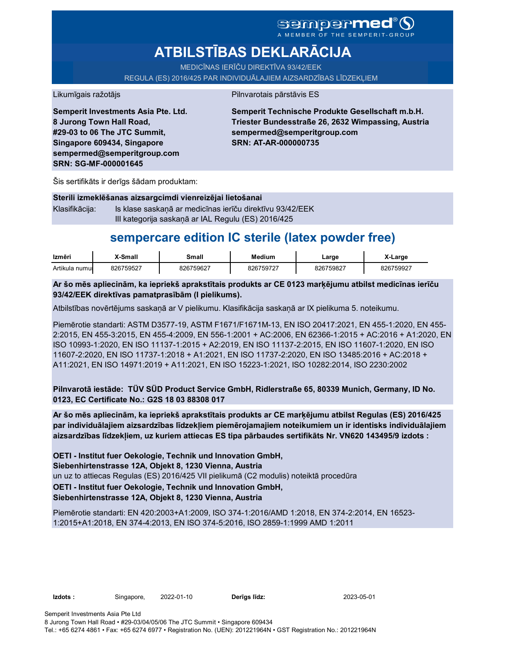# SGMDGP**MCC**<sup>®</sup>

# **ATBILSTĪBAS DEKLARĀCIJA**

MEDICĪNAS IERĪČU DIREKTĪVA 93/42/EEK

REGULA (ES) 2016/425 PAR INDIVIDUĀLAJIEM AIZSARDZĪBAS LĪDZEKLIEM

#### Likumīgais ražotājs **Pilnvarotais pārstāvis ES**

**Semperit Investments Asia Pte. Ltd. 8 Jurong Town Hall Road, #29-03 to 06 The JTC Summit, Singapore 609434, Singapore sempermed@semperitgroup.com SRN: SG-MF-000001645**

**Semperit Technische Produkte Gesellschaft m.b.H. Triester Bundesstraße 26, 2632 Wimpassing, Austria sempermed@semperitgroup.com SRN: AT-AR-000000735**

Šis sertifikāts ir derīgs šādam produktam:

| Sterili izmeklēšanas aizsargcimdi vienreizējai lietošanai |                                                          |  |  |  |
|-----------------------------------------------------------|----------------------------------------------------------|--|--|--|
| Klasifikācija:                                            | Is klase saskanā ar medicīnas ierīču direktīvu 93/42/EEK |  |  |  |
|                                                           | III kategorija saskaņā ar IAL Regulu (ES) 2016/425       |  |  |  |

## **sempercare edition IC sterile (latex powder free)**

| Izmēri         | X-Small   | Small     | Medium    | _arge     | X-Large   |
|----------------|-----------|-----------|-----------|-----------|-----------|
| Artikula numur | 826759527 | 826759627 | 826759727 | 826759827 | 826759927 |

**Ar šo mēs apliecinām, ka iepriekš aprakstītais produkts ar CE 0123 marķējumu atbilst medicīnas ierīču 93/42/EEK direktīvas pamatprasībām (I pielikums).**

Atbilstības novērtējums saskaņā ar V pielikumu. Klasifikācija saskaņā ar IX pielikuma 5. noteikumu.

Piemērotie standarti: ASTM D3577-19, ASTM F1671/F1671M-13, EN ISO 20417:2021, EN 455-1:2020, EN 455- 2:2015, EN 455-3:2015, EN 455-4:2009, EN 556-1:2001 + AC:2006, EN 62366-1:2015 + AC:2016 + A1:2020, EN ISO 10993-1:2020, EN ISO 11137-1:2015 + A2:2019, EN ISO 11137-2:2015, EN ISO 11607-1:2020, EN ISO 11607-2:2020, EN ISO 11737-1:2018 + A1:2021, EN ISO 11737-2:2020, EN ISO 13485:2016 + AC:2018 + A11:2021, EN ISO 14971:2019 + A11:2021, EN ISO 15223-1:2021, ISO 10282:2014, ISO 2230:2002

**Pilnvarotā iestāde: TÜV SÜD Product Service GmbH, Ridlerstraße 65, 80339 Munich, Germany, ID No. 0123, EC Certificate No.: G2S 18 03 88308 017**

**Ar šo mēs apliecinām, ka iepriekš aprakstītais produkts ar CE marķējumu atbilst Regulas (ES) 2016/425 par individuālajiem aizsardzības līdzekļiem piemērojamajiem noteikumiem un ir identisks individuālajiem aizsardzības līdzekļiem, uz kuriem attiecas ES tipa pārbaudes sertifikāts Nr. VN620 143495/9 izdots :**

un uz to attiecas Regulas (ES) 2016/425 VII pielikumā (C2 modulis) noteiktā procedūra **OETI - Institut fuer Oekologie, Technik und Innovation GmbH, OETI - Institut fuer Oekologie, Technik und Innovation GmbH, Siebenhirtenstrasse 12A, Objekt 8, 1230 Vienna, Austria**

### **Siebenhirtenstrasse 12A, Objekt 8, 1230 Vienna, Austria**

Piemērotie standarti: EN 420:2003+A1:2009, ISO 374-1:2016/AMD 1:2018, EN 374-2:2014, EN 16523- 1:2015+A1:2018, EN 374-4:2013, EN ISO 374-5:2016, ISO 2859-1:1999 AMD 1:2011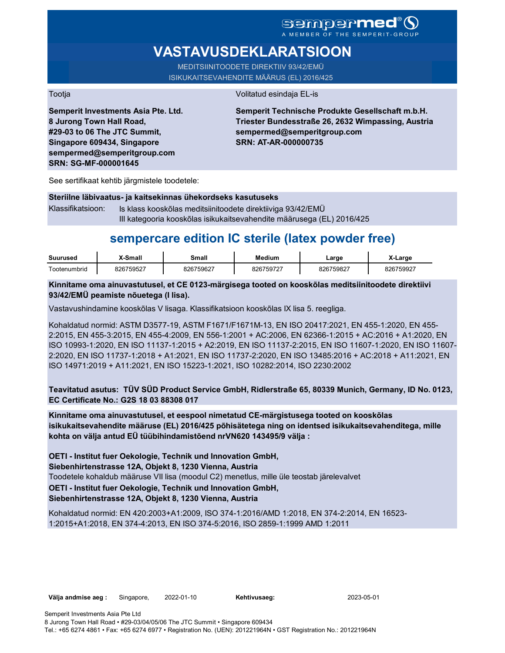### **Sempermed** A MEMBER OF THE SEMPERIT-GROUP

# **VASTAVUSDEKLARATSIOON**

MEDITSIINITOODETE DIREKTIIV 93/42/EMÜ ISIKUKAITSEVAHENDITE MÄÄRUS (EL) 2016/425

Tootja Volitatud esindaja EL-is

**Semperit Investments Asia Pte. Ltd. 8 Jurong Town Hall Road, #29-03 to 06 The JTC Summit, Singapore 609434, Singapore sempermed@semperitgroup.com SRN: SG-MF-000001645**

**Semperit Technische Produkte Gesellschaft m.b.H. Triester Bundesstraße 26, 2632 Wimpassing, Austria sempermed@semperitgroup.com SRN: AT-AR-000000735**

See sertifikaat kehtib järgmistele toodetele:

#### **Steriilne läbivaatus- ja kaitsekinnas ühekordseks kasutuseks**

Klassifikatsioon: Is klass kooskõlas meditsiinitoodete direktiiviga 93/42/EMÜ III kategooria kooskõlas isikukaitsevahendite määrusega (EL) 2016/425

## **sempercare edition IC sterile (latex powder free)**

| <b>Suurused</b> | Small-    | Small     | Medium    | Large     | X-Large   |
|-----------------|-----------|-----------|-----------|-----------|-----------|
| Footenumbrid    | 826759527 | 826759627 | 826759727 | 826759827 | 826759927 |

### **Kinnitame oma ainuvastutusel, et CE 0123-märgisega tooted on kooskõlas meditsiinitoodete direktiivi 93/42/EMÜ peamiste nõuetega (I lisa).**

Vastavushindamine kooskõlas V lisaga. Klassifikatsioon kooskõlas IX lisa 5. reegliga.

Kohaldatud normid: ASTM D3577-19, ASTM F1671/F1671M-13, EN ISO 20417:2021, EN 455-1:2020, EN 455- 2:2015, EN 455-3:2015, EN 455-4:2009, EN 556-1:2001 + AC:2006, EN 62366-1:2015 + AC:2016 + A1:2020, EN ISO 10993-1:2020, EN ISO 11137-1:2015 + A2:2019, EN ISO 11137-2:2015, EN ISO 11607-1:2020, EN ISO 11607- 2:2020, EN ISO 11737-1:2018 + A1:2021, EN ISO 11737-2:2020, EN ISO 13485:2016 + AC:2018 + A11:2021, EN ISO 14971:2019 + A11:2021, EN ISO 15223-1:2021, ISO 10282:2014, ISO 2230:2002

**Teavitatud asutus: TÜV SÜD Product Service GmbH, Ridlerstraße 65, 80339 Munich, Germany, ID No. 0123, EC Certificate No.: G2S 18 03 88308 017**

**Kinnitame oma ainuvastutusel, et eespool nimetatud CE-märgistusega tooted on kooskõlas isikukaitsevahendite määruse (EL) 2016/425 põhisätetega ning on identsed isikukaitsevahenditega, mille kohta on välja antud EÜ tüübihindamistõend nrVN620 143495/9 välja :**

Toodetele kohaldub määruse VII lisa (moodul C2) menetlus, mille üle teostab järelevalvet **OETI - Institut fuer Oekologie, Technik und Innovation GmbH, OETI - Institut fuer Oekologie, Technik und Innovation GmbH, Siebenhirtenstrasse 12A, Objekt 8, 1230 Vienna, Austria**

### **Siebenhirtenstrasse 12A, Objekt 8, 1230 Vienna, Austria**

Kohaldatud normid: EN 420:2003+A1:2009, ISO 374-1:2016/AMD 1:2018, EN 374-2:2014, EN 16523- 1:2015+A1:2018, EN 374-4:2013, EN ISO 374-5:2016, ISO 2859-1:1999 AMD 1:2011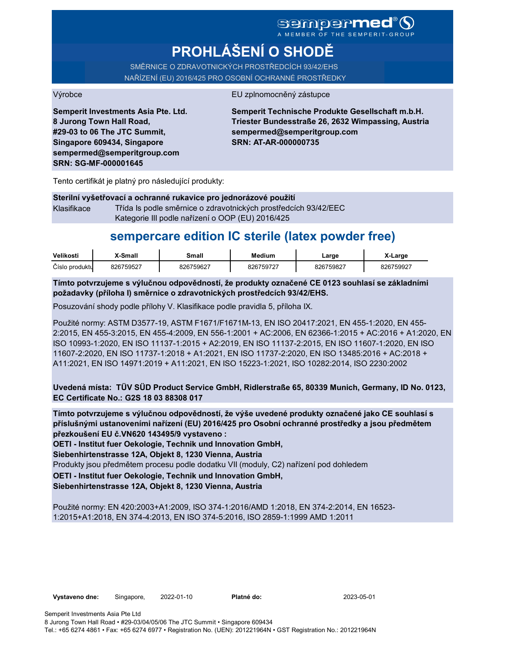A MEMBER OF THE SEMPERIT-

# **PROHLÁŠENÍ O SHODĚ**

SMĚRNICE O ZDRAVOTNICKÝCH PROSTŘEDCÍCH 93/42/EHS NAŘÍZENÍ (EU) 2016/425 PRO OSOBNÍ OCHRANNÉ PROSTŘEDKY

### Výrobce EU zplnomocněný zástupce

**Semperit Investments Asia Pte. Ltd. 8 Jurong Town Hall Road, #29-03 to 06 The JTC Summit, Singapore 609434, Singapore sempermed@semperitgroup.com SRN: SG-MF-000001645**

**Semperit Technische Produkte Gesellschaft m.b.H. Triester Bundesstraße 26, 2632 Wimpassing, Austria sempermed@semperitgroup.com SRN: AT-AR-000000735**

Tento certifikát je platný pro následující produkty:

**Sterilní vyšetřovací a ochranné rukavice pro jednorázové použití** Klasifikace Třída Is podle směrnice o zdravotnických prostředcích 93/42/EEC Kategorie III podle nařízení o OOP (EU) 2016/425

## **sempercare edition IC sterile (latex powder free)**

| Velikosti      | <b>X-Small</b> | Small     | <b>Medium</b> | ∟arge     | X-Large   |
|----------------|----------------|-----------|---------------|-----------|-----------|
| Císlo produktu | 826759527      | 826759627 | 826759727     | 826759827 | 826759927 |

**Tímto potvrzujeme s výlučnou odpovědností, že produkty označené CE 0123 souhlasí se základními požadavky (příloha I) směrnice o zdravotnických prostředcích 93/42/EHS.**

Posuzování shody podle přílohy V. Klasifikace podle pravidla 5, příloha IX.

Použité normy: ASTM D3577-19, ASTM F1671/F1671M-13, EN ISO 20417:2021, EN 455-1:2020, EN 455- 2:2015, EN 455-3:2015, EN 455-4:2009, EN 556-1:2001 + AC:2006, EN 62366-1:2015 + AC:2016 + A1:2020, EN ISO 10993-1:2020, EN ISO 11137-1:2015 + A2:2019, EN ISO 11137-2:2015, EN ISO 11607-1:2020, EN ISO 11607-2:2020, EN ISO 11737-1:2018 + A1:2021, EN ISO 11737-2:2020, EN ISO 13485:2016 + AC:2018 + A11:2021, EN ISO 14971:2019 + A11:2021, EN ISO 15223-1:2021, ISO 10282:2014, ISO 2230:2002

**Uvedená místa: TÜV SÜD Product Service GmbH, Ridlerstraße 65, 80339 Munich, Germany, ID No. 0123, EC Certificate No.: G2S 18 03 88308 017**

**Tímto potvrzujeme s výlučnou odpovědností, že výše uvedené produkty označené jako CE souhlasí s příslušnými ustanoveními nařízení (EU) 2016/425 pro Osobní ochranné prostředky a jsou předmětem přezkoušení EU č.VN620 143495/9 vystaveno :**

**OETI - Institut fuer Oekologie, Technik und Innovation GmbH,** 

**Siebenhirtenstrasse 12A, Objekt 8, 1230 Vienna, Austria**

Produkty jsou předmětem procesu podle dodatku VII (moduly, C2) nařízení pod dohledem

**OETI - Institut fuer Oekologie, Technik und Innovation GmbH,** 

**Siebenhirtenstrasse 12A, Objekt 8, 1230 Vienna, Austria**

Použité normy: EN 420:2003+A1:2009, ISO 374-1:2016/AMD 1:2018, EN 374-2:2014, EN 16523- 1:2015+A1:2018, EN 374-4:2013, EN ISO 374-5:2016, ISO 2859-1:1999 AMD 1:2011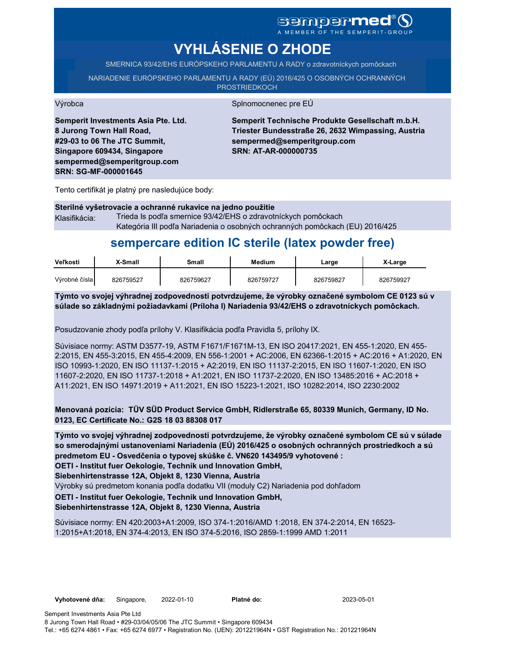# **sempermed**®

A MEMBER OF THE SEMPERIT-GROUP

# **VYHLÁSENIE O ZHODE**

SMERNICA 93/42/EHS EURÓPSKEHO PARLAMENTU A RADY o zdravotníckych pomôckach

NARIADENIE EURÓPSKEHO PARLAMENTU A RADY (EÚ) 2016/425 O OSOBNÝCH OCHRANNÝCH

**PROSTRIEDKOCH** 

Výrobca Splnomocnenec pre EÚ

**Semperit Investments Asia Pte. Ltd. 8 Jurong Town Hall Road, #29-03 to 06 The JTC Summit, Singapore 609434, Singapore sempermed@semperitgroup.com SRN: SG-MF-000001645**

**Semperit Technische Produkte Gesellschaft m.b.H. Triester Bundesstraße 26, 2632 Wimpassing, Austria sempermed@semperitgroup.com SRN: AT-AR-000000735**

Tento certifikát je platný pre nasledujúce body:

#### **Sterilné vyšetrovacie a ochranné rukavice na jedno použitie** Klasifikácia: Trieda Is podľa smernice 93/42/EHS o zdravotníckych pomôckach Kategória III podľa Nariadenia o osobných ochranných pomôckach (EU) 2016/425

# **sempercare edition IC sterile (latex powder free)**

| Veľkosti      | <b>X-Small</b> | Small     | Medium    | Large     | X-Large   |
|---------------|----------------|-----------|-----------|-----------|-----------|
| Výrobné čísla | 826759527      | 826759627 | 826759727 | 826759827 | 826759927 |

**Týmto vo svojej výhradnej zodpovednosti potvrdzujeme, že výrobky označené symbolom CE 0123 sú v súlade so základnými požiadavkami (Príloha I) Nariadenia 93/42/EHS o zdravotníckych pomôckach.**

Posudzovanie zhody podľa prílohy V. Klasifikácia podľa Pravidla 5, prílohy IX.

Súvisiace normy: ASTM D3577-19, ASTM F1671/F1671M-13, EN ISO 20417:2021, EN 455-1:2020, EN 455- 2:2015, EN 455-3:2015, EN 455-4:2009, EN 556-1:2001 + AC:2006, EN 62366-1:2015 + AC:2016 + A1:2020, EN ISO 10993-1:2020, EN ISO 11137-1:2015 + A2:2019, EN ISO 11137-2:2015, EN ISO 11607-1:2020, EN ISO 11607-2:2020, EN ISO 11737-1:2018 + A1:2021, EN ISO 11737-2:2020, EN ISO 13485:2016 + AC:2018 + A11:2021, EN ISO 14971:2019 + A11:2021, EN ISO 15223-1:2021, ISO 10282:2014, ISO 2230:2002

**Menovaná pozícia: TÜV SÜD Product Service GmbH, Ridlerstraße 65, 80339 Munich, Germany, ID No. 0123, EC Certificate No.: G2S 18 03 88308 017**

**Týmto vo svojej výhradnej zodpovednosti potvrdzujeme, že výrobky označené symbolom CE sú v súlade so smerodajnými ustanoveniami Nariadenia (EÚ) 2016/425 o osobných ochranných prostriedkoch a sú predmetom EU - Osvedčenia o typovej skúške č. VN620 143495/9 vyhotovené :**

**OETI - Institut fuer Oekologie, Technik und Innovation GmbH,** 

**Siebenhirtenstrasse 12A, Objekt 8, 1230 Vienna, Austria**

Výrobky sú predmetom konania podľa dodatku VII (moduly C2) Nariadenia pod dohľadom

**OETI - Institut fuer Oekologie, Technik und Innovation GmbH,** 

**Siebenhirtenstrasse 12A, Objekt 8, 1230 Vienna, Austria**

Súvisiace normy: EN 420:2003+A1:2009, ISO 374-1:2016/AMD 1:2018, EN 374-2:2014, EN 16523- 1:2015+A1:2018, EN 374-4:2013, EN ISO 374-5:2016, ISO 2859-1:1999 AMD 1:2011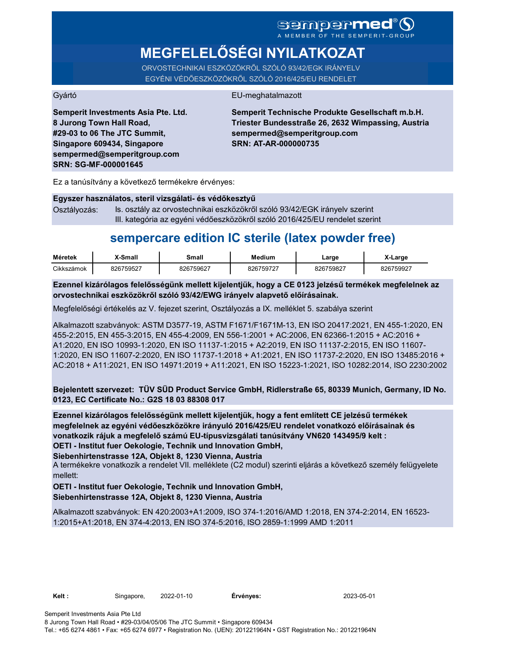# SGMDGP**MEd®** O

**MEGFELELŐSÉGI NYILATKOZAT**

ORVOSTECHNIKAI ESZKÖZÖKRŐL SZÓLÓ 93/42/EGK IRÁNYELV EGYÉNI VÉDŐESZKÖZÖKRŐL SZÓLÓ 2016/425/EU RENDELET

### Gyártó EU-meghatalmazott

**Semperit Investments Asia Pte. Ltd. 8 Jurong Town Hall Road, #29-03 to 06 The JTC Summit, Singapore 609434, Singapore sempermed@semperitgroup.com SRN: SG-MF-000001645**

**Semperit Technische Produkte Gesellschaft m.b.H. Triester Bundesstraße 26, 2632 Wimpassing, Austria sempermed@semperitgroup.com SRN: AT-AR-000000735**

Ez a tanúsítvány a következő termékekre érvényes:

| Egyszer használatos, steril vizsgálati- és védőkesztyű |                                                                             |  |  |  |
|--------------------------------------------------------|-----------------------------------------------------------------------------|--|--|--|
| Osztályozás:                                           | Is. osztály az orvostechnikai eszközökről szóló 93/42/EGK irányely szerint  |  |  |  |
|                                                        | III. kategória az egyéni védőeszközökről szóló 2016/425/EU rendelet szerint |  |  |  |

## **sempercare edition IC sterile (latex powder free)**

| Méretek    | X-Small   | Small     | Medium    | Large     | ∡-Large   |
|------------|-----------|-----------|-----------|-----------|-----------|
| Cikkszámok | 826759527 | 826759627 | 826759727 | 826759827 | 826759927 |

**Ezennel kizárólagos felelősségünk mellett kijelentjük, hogy a CE 0123 jelzésű termékek megfelelnek az orvostechnikai eszközökről szóló 93/42/EWG irányelv alapvető előírásainak.**

Megfelelőségi értékelés az V. fejezet szerint, Osztályozás a IX. melléklet 5. szabálya szerint

Alkalmazott szabványok: ASTM D3577-19, ASTM F1671/F1671M-13, EN ISO 20417:2021, EN 455-1:2020, EN 455-2:2015, EN 455-3:2015, EN 455-4:2009, EN 556-1:2001 + AC:2006, EN 62366-1:2015 + AC:2016 + A1:2020, EN ISO 10993-1:2020, EN ISO 11137-1:2015 + A2:2019, EN ISO 11137-2:2015, EN ISO 11607- 1:2020, EN ISO 11607-2:2020, EN ISO 11737-1:2018 + A1:2021, EN ISO 11737-2:2020, EN ISO 13485:2016 + AC:2018 + A11:2021, EN ISO 14971:2019 + A11:2021, EN ISO 15223-1:2021, ISO 10282:2014, ISO 2230:2002

**Bejelentett szervezet: TÜV SÜD Product Service GmbH, Ridlerstraße 65, 80339 Munich, Germany, ID No. 0123, EC Certificate No.: G2S 18 03 88308 017**

**OETI - Institut fuer Oekologie, Technik und Innovation GmbH, Ezennel kizárólagos felelősségünk mellett kijelentjük, hogy a fent említett CE jelzésű termékek megfelelnek az egyéni védőeszközökre irányuló 2016/425/EU rendelet vonatkozó előírásainak és vonatkozik rájuk a megfelelő számú EU-típusvizsgálati tanúsítvány VN620 143495/9 kelt :**

**Siebenhirtenstrasse 12A, Objekt 8, 1230 Vienna, Austria**

A termékekre vonatkozik a rendelet VII. melléklete (C2 modul) szerinti eljárás a következő személy felügyelete mellett:

**OETI - Institut fuer Oekologie, Technik und Innovation GmbH, Siebenhirtenstrasse 12A, Objekt 8, 1230 Vienna, Austria**

Alkalmazott szabványok: EN 420:2003+A1:2009, ISO 374-1:2016/AMD 1:2018, EN 374-2:2014, EN 16523- 1:2015+A1:2018, EN 374-4:2013, EN ISO 374-5:2016, ISO 2859-1:1999 AMD 1:2011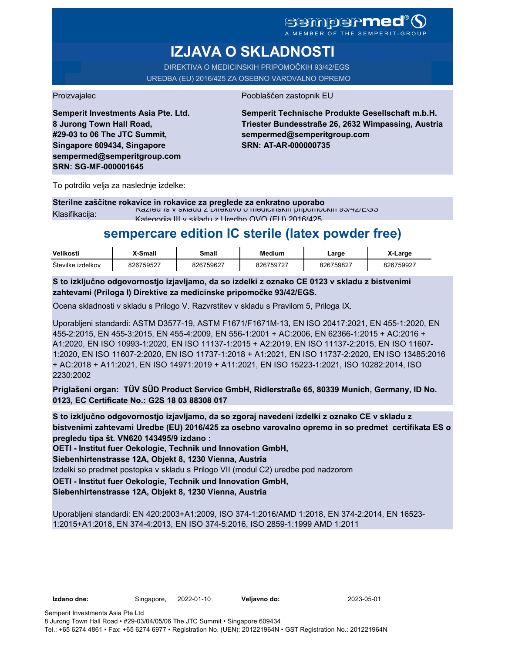MEMBER OF THE SEMPERIT

# **IZJAVA O SKLADNOSTI**

DIREKTIVA O MEDICINSKIH PRIPOMOČKIH 93/42/EGS UREDBA (EU) 2016/425 ZA OSEBNO VAROVALNO OPREMO

**Semperit Investments Asia Pte. Ltd. 8 Jurong Town Hall Road, #29-03 to 06 The JTC Summit, Singapore 609434, Singapore sempermed@semperitgroup.com SRN: SG-MF-000001645**

### Proizvajalec Pooblaščen zastopnik EU

**Semperit Technische Produkte Gesellschaft m.b.H. Triester Bundesstraße 26, 2632 Wimpassing, Austria sempermed@semperitgroup.com SRN: AT-AR-000000735**

To potrdilo velja za naslednje izdelke:

**Sterilne zaščitne rokavice in rokavice za preglede za enkratno uporabo** Klasifikacija: Razred Is v skladu z Direktivo o medicinskih pripomočkih 93/42/EGS Kategorija III v skladu z Uredbo OVO (EU) 2016/425

## **sempercare edition IC sterile (latex powder free)**

| Velikosti         | <b>X-Small</b> | Small     | Medium    | ∟arqe     | <i>x</i> -Large |
|-------------------|----------------|-----------|-----------|-----------|-----------------|
| Številke izdelkov | 826759527      | 826759627 | 826759727 | 826759827 | 826759927       |

**S to izključno odgovornostjo izjavljamo, da so izdelki z oznako CE 0123 v skladu z bistvenimi zahtevami (Priloga I) Direktive za medicinske pripomočke 93/42/EGS.**

Ocena skladnosti v skladu s Prilogo V. Razvrstitev v skladu s Pravilom 5, Priloga IX.

Uporabljeni standardi: ASTM D3577-19, ASTM F1671/F1671M-13, EN ISO 20417:2021, EN 455-1:2020, EN 455-2:2015, EN 455-3:2015, EN 455-4:2009, EN 556-1:2001 + AC:2006, EN 62366-1:2015 + AC:2016 + A1:2020, EN ISO 10993-1:2020, EN ISO 11137-1:2015 + A2:2019, EN ISO 11137-2:2015, EN ISO 11607- 1:2020, EN ISO 11607-2:2020, EN ISO 11737-1:2018 + A1:2021, EN ISO 11737-2:2020, EN ISO 13485:2016 + AC:2018 + A11:2021, EN ISO 14971:2019 + A11:2021, EN ISO 15223-1:2021, ISO 10282:2014, ISO 2230:2002

**Priglašeni organ: TÜV SÜD Product Service GmbH, Ridlerstraße 65, 80339 Munich, Germany, ID No. 0123, EC Certificate No.: G2S 18 03 88308 017**

**S to izključno odgovornostjo izjavljamo, da so zgoraj navedeni izdelki z oznako CE v skladu z bistvenimi zahtevami Uredbe (EU) 2016/425 za osebno varovalno opremo in so predmet certifikata ES o pregledu tipa št. VN620 143495/9 izdano :**

**OETI - Institut fuer Oekologie, Technik und Innovation GmbH,** 

**Siebenhirtenstrasse 12A, Objekt 8, 1230 Vienna, Austria**

Izdelki so predmet postopka v skladu s Prilogo VII (modul C2) uredbe pod nadzorom

**OETI - Institut fuer Oekologie, Technik und Innovation GmbH,** 

**Siebenhirtenstrasse 12A, Objekt 8, 1230 Vienna, Austria**

Uporabljeni standardi: EN 420:2003+A1:2009, ISO 374-1:2016/AMD 1:2018, EN 374-2:2014, EN 16523- 1:2015+A1:2018, EN 374-4:2013, EN ISO 374-5:2016, ISO 2859-1:1999 AMD 1:2011

**Izdano dne:** Singapore, 2022-01-10 **Veljavno do:** 2023-05-01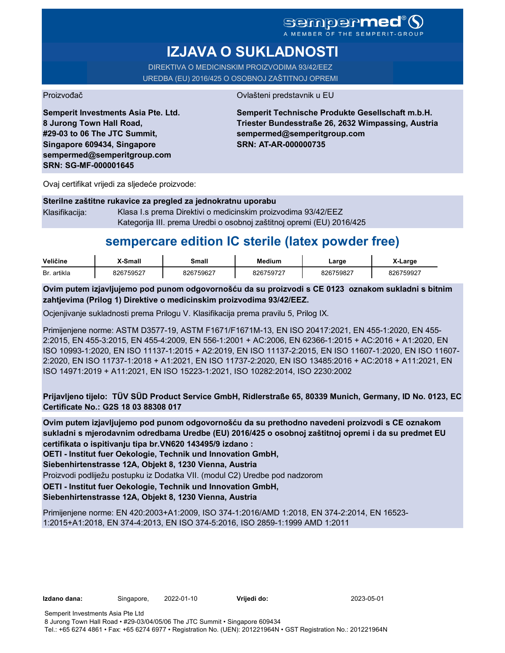### **sempermed AFMBER OF THE SEMPERIT.**

# **IZJAVA O SUKLADNOSTI**

DIREKTIVA O MEDICINSKIM PROIZVODIMA 93/42/EEZ UREDBA (EU) 2016/425 O OSOBNOJ ZAŠTITNOJ OPREMI

Proizvođač Ovlašteni predstavnik u EU

**Semperit Investments Asia Pte. Ltd. 8 Jurong Town Hall Road, #29-03 to 06 The JTC Summit, Singapore 609434, Singapore sempermed@semperitgroup.com SRN: SG-MF-000001645**

**Semperit Technische Produkte Gesellschaft m.b.H. Triester Bundesstraße 26, 2632 Wimpassing, Austria sempermed@semperitgroup.com SRN: AT-AR-000000735**

Ovaj certifikat vrijedi za sljedeće proizvode:

| Sterilne zaštitne rukavice za pregled za jednokratnu uporabu |                                                                       |  |  |  |
|--------------------------------------------------------------|-----------------------------------------------------------------------|--|--|--|
| Klasifikaciia:                                               | Klasa I.s prema Direktivi o medicinskim proizvodima 93/42/EEZ         |  |  |  |
|                                                              | Kategorija III. prema Uredbi o osobnoj zaštitnoj opremi (EU) 2016/425 |  |  |  |

# **sempercare edition IC sterile (latex powder free)**

| Veličine    | X-Small               | Small     | Medium                         | ∟arɑe     | -Large |
|-------------|-----------------------|-----------|--------------------------------|-----------|--------|
| Br. artikla | ,2675952 <sup>-</sup> | 826759627 | $\lambda$ 267597 <sup>o-</sup> | 826759827 | 75992- |

**Ovim putem izjavljujemo pod punom odgovornošću da su proizvodi s CE 0123 oznakom sukladni s bitnim zahtjevima (Prilog 1) Direktive o medicinskim proizvodima 93/42/EEZ.**

Ocjenjivanje sukladnosti prema Prilogu V. Klasifikacija prema pravilu 5, Prilog IX.

Primijenjene norme: ASTM D3577-19, ASTM F1671/F1671M-13, EN ISO 20417:2021, EN 455-1:2020, EN 455- 2:2015, EN 455-3:2015, EN 455-4:2009, EN 556-1:2001 + AC:2006, EN 62366-1:2015 + AC:2016 + A1:2020, EN ISO 10993-1:2020, EN ISO 11137-1:2015 + A2:2019, EN ISO 11137-2:2015, EN ISO 11607-1:2020, EN ISO 11607- 2:2020, EN ISO 11737-1:2018 + A1:2021, EN ISO 11737-2:2020, EN ISO 13485:2016 + AC:2018 + A11:2021, EN ISO 14971:2019 + A11:2021, EN ISO 15223-1:2021, ISO 10282:2014, ISO 2230:2002

**Prijavljeno tijelo: TÜV SÜD Product Service GmbH, Ridlerstraße 65, 80339 Munich, Germany, ID No. 0123, EC Certificate No.: G2S 18 03 88308 017**

**Ovim putem izjavljujemo pod punom odgovornošću da su prethodno navedeni proizvodi s CE oznakom sukladni s mjerodavnim odredbama Uredbe (EU) 2016/425 o osobnoj zaštitnoj opremi i da su predmet EU certifikata o ispitivanju tipa br.VN620 143495/9 izdano :**

**OETI - Institut fuer Oekologie, Technik und Innovation GmbH,** 

**Siebenhirtenstrasse 12A, Objekt 8, 1230 Vienna, Austria**

Proizvodi podliježu postupku iz Dodatka VII. (modul C2) Uredbe pod nadzorom

**OETI - Institut fuer Oekologie, Technik und Innovation GmbH,** 

### **Siebenhirtenstrasse 12A, Objekt 8, 1230 Vienna, Austria**

Primijenjene norme: EN 420:2003+A1:2009, ISO 374-1:2016/AMD 1:2018, EN 374-2:2014, EN 16523- 1:2015+A1:2018, EN 374-4:2013, EN ISO 374-5:2016, ISO 2859-1:1999 AMD 1:2011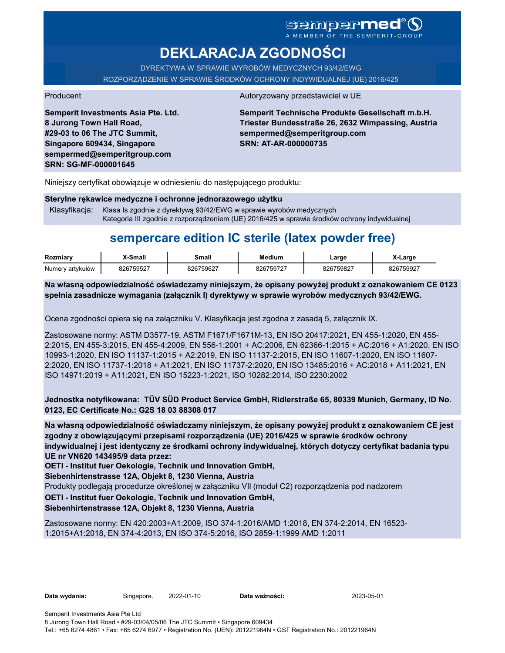A MEMBER OF THE SEMPERIT-GROUP

# **DEKLARACJA ZGODNOŚCI**

DYREKTYWA W SPRAWIE WYROBÓW MEDYCZNYCH 93/42/EWG

ROZPORZĄDZENIE W SPRAWIE ŚRODKÓW OCHRONY INDYWIDUALNEJ (UE) 2016/425

Producent Autoryzowany przedstawiciel w UE

**Semperit Investments Asia Pte. Ltd. 8 Jurong Town Hall Road, #29-03 to 06 The JTC Summit, Singapore 609434, Singapore sempermed@semperitgroup.com SRN: SG-MF-000001645**

**Semperit Technische Produkte Gesellschaft m.b.H. Triester Bundesstraße 26, 2632 Wimpassing, Austria sempermed@semperitgroup.com SRN: AT-AR-000000735**

Niniejszy certyfikat obowiązuje w odniesieniu do następującego produktu:

**Sterylne rękawice medyczne i ochronne jednorazowego użytku**

Klasyfikacja: Klasa Is zgodnie z dyrektywą 93/42/EWG w sprawie wyrobów medycznych Kategoria III zgodnie z rozporządzeniem (UE) 2016/425 w sprawie środków ochrony indywidualnej

# **sempercare edition IC sterile (latex powder free)**

| Rozmiary         | X-Small   | Small     | <b>Medium</b> | ∟arge     | X-Large   |
|------------------|-----------|-----------|---------------|-----------|-----------|
| Numery artykułów | 826759527 | 826759627 | 826759727     | 826759827 | 826759927 |

**Na własną odpowiedzialność oświadczamy niniejszym, że opisany powyżej produkt z oznakowaniem CE 0123 spełnia zasadnicze wymagania (załącznik I) dyrektywy w sprawie wyrobów medycznych 93/42/EWG.**

Ocena zgodności opiera się na załączniku V. Klasyfikacja jest zgodna z zasadą 5, załącznik IX.

Zastosowane normy: ASTM D3577-19, ASTM F1671/F1671M-13, EN ISO 20417:2021, EN 455-1:2020, EN 455- 2:2015, EN 455-3:2015, EN 455-4:2009, EN 556-1:2001 + AC:2006, EN 62366-1:2015 + AC:2016 + A1:2020, EN ISO 10993-1:2020, EN ISO 11137-1:2015 + A2:2019, EN ISO 11137-2:2015, EN ISO 11607-1:2020, EN ISO 11607- 2:2020, EN ISO 11737-1:2018 + A1:2021, EN ISO 11737-2:2020, EN ISO 13485:2016 + AC:2018 + A11:2021, EN ISO 14971:2019 + A11:2021, EN ISO 15223-1:2021, ISO 10282:2014, ISO 2230:2002

**Jednostka notyfikowana: TÜV SÜD Product Service GmbH, Ridlerstraße 65, 80339 Munich, Germany, ID No. 0123, EC Certificate No.: G2S 18 03 88308 017**

**Na własną odpowiedzialność oświadczamy niniejszym, że opisany powyżej produkt z oznakowaniem CE jest zgodny z obowiązującymi przepisami rozporządzenia (UE) 2016/425 w sprawie środków ochrony indywidualnej i jest identyczny ze środkami ochrony indywidualnej, których dotyczy certyfikat badania typu UE nr VN620 143495/9 data przez:**

**OETI - Institut fuer Oekologie, Technik und Innovation GmbH,** 

**Siebenhirtenstrasse 12A, Objekt 8, 1230 Vienna, Austria**

Produkty podlegają procedurze określonej w załączniku VII (moduł C2) rozporządzenia pod nadzorem

**OETI - Institut fuer Oekologie, Technik und Innovation GmbH,** 

**Siebenhirtenstrasse 12A, Objekt 8, 1230 Vienna, Austria**

Zastosowane normy: EN 420:2003+A1:2009, ISO 374-1:2016/AMD 1:2018, EN 374-2:2014, EN 16523- 1:2015+A1:2018, EN 374-4:2013, EN ISO 374-5:2016, ISO 2859-1:1999 AMD 1:2011

**Data wydania:** Singapore, 2022-01-10 **Data ważności:** 2023-05-01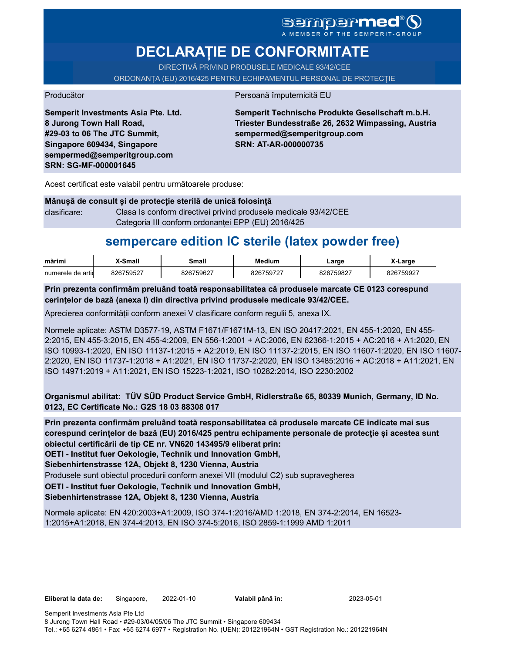# SCMDCPMCC<sup>®</sup>

# **DECLARAȚIE DE CONFORMITATE**

DIRECTIVĂ PRIVIND PRODUSELE MEDICALE 93/42/CEE

ORDONANȚA (EU) 2016/425 PENTRU ECHIPAMENTUL PERSONAL DE PROTECȚIE

Producător **Producător** Persoană împuternicită EU

**Semperit Investments Asia Pte. Ltd. 8 Jurong Town Hall Road, #29-03 to 06 The JTC Summit, Singapore 609434, Singapore sempermed@semperitgroup.com SRN: SG-MF-000001645**

**Semperit Technische Produkte Gesellschaft m.b.H. Triester Bundesstraße 26, 2632 Wimpassing, Austria sempermed@semperitgroup.com SRN: AT-AR-000000735**

Acest certificat este valabil pentru următoarele produse:

**Mânușă de consult și de protecție sterilă de unică folosință** clasificare: Clasa Is conform directivei privind produsele medicale 93/42/CEE Categoria III conform ordonanței EPP (EU) 2016/425

# **sempercare edition IC sterile (latex powder free)**

| marim             | Smal   | small  | Medium | ∟arɑe         | <b>-∟arge</b> |
|-------------------|--------|--------|--------|---------------|---------------|
| numerele de artic | /50527 | /59627 | rhu.   | 75982-<br>ה ה |               |

**Prin prezenta confirmăm preluând toată responsabilitatea că produsele marcate CE 0123 corespund cerințelor de bază (anexa I) din directiva privind produsele medicale 93/42/CEE.**

Aprecierea conformității conform anexei V clasificare conform regulii 5, anexa IX.

Normele aplicate: ASTM D3577-19, ASTM F1671/F1671M-13, EN ISO 20417:2021, EN 455-1:2020, EN 455- 2:2015, EN 455-3:2015, EN 455-4:2009, EN 556-1:2001 + AC:2006, EN 62366-1:2015 + AC:2016 + A1:2020, EN ISO 10993-1:2020, EN ISO 11137-1:2015 + A2:2019, EN ISO 11137-2:2015, EN ISO 11607-1:2020, EN ISO 11607- 2:2020, EN ISO 11737-1:2018 + A1:2021, EN ISO 11737-2:2020, EN ISO 13485:2016 + AC:2018 + A11:2021, EN ISO 14971:2019 + A11:2021, EN ISO 15223-1:2021, ISO 10282:2014, ISO 2230:2002

**Organismul abilitat: TÜV SÜD Product Service GmbH, Ridlerstraße 65, 80339 Munich, Germany, ID No. 0123, EC Certificate No.: G2S 18 03 88308 017**

**Prin prezenta confirmăm preluând toată responsabilitatea că produsele marcate CE indicate mai sus corespund cerințelor de bază (EU) 2016/425 pentru echipamente personale de protecție și acestea sunt obiectul certificării de tip CE nr. VN620 143495/9 eliberat prin:**

**OETI - Institut fuer Oekologie, Technik und Innovation GmbH,** 

**Siebenhirtenstrasse 12A, Objekt 8, 1230 Vienna, Austria**

Produsele sunt obiectul procedurii conform anexei VII (modulul C2) sub supravegherea

**OETI - Institut fuer Oekologie, Technik und Innovation GmbH,** 

### **Siebenhirtenstrasse 12A, Objekt 8, 1230 Vienna, Austria**

Normele aplicate: EN 420:2003+A1:2009, ISO 374-1:2016/AMD 1:2018, EN 374-2:2014, EN 16523- 1:2015+A1:2018, EN 374-4:2013, EN ISO 374-5:2016, ISO 2859-1:1999 AMD 1:2011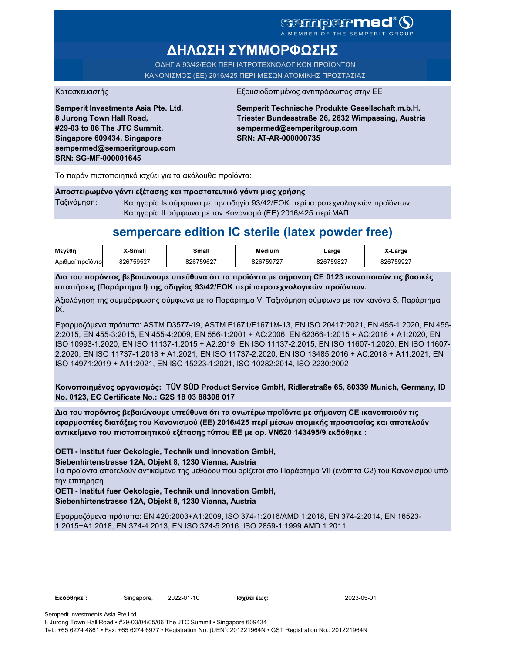MEMBER OF THE SEMPERIT

# **ΔΗΛΩΣΗ ΣΥΜΜΟΡΦΩΣΗΣ**

ΟΔΗΓΙΑ 93/42/ΕΟΚ ΠΕΡΙ ΙΑΤΡΟΤΕΧΝΟΛΟΓΙΚΩΝ ΠΡΟΪΟΝΤΩΝ ΚΑΝΟΝΙΣΜΟΣ (ΕΕ) 2016/425 ΠΕΡΙ ΜΕΣΩΝ ΑΤΟΜΙΚΗΣ ΠΡΟΣΤΑΣΙΑΣ

**Semperit Investments Asia Pte. Ltd. 8 Jurong Town Hall Road, #29-03 to 06 The JTC Summit, Singapore 609434, Singapore sempermed@semperitgroup.com SRN: SG-MF-000001645**

Κατασκευαστής **Εξουσιοδοτημένος αντιπρόσωπος στην Ε**Ε

**Semperit Technische Produkte Gesellschaft m.b.H. Triester Bundesstraße 26, 2632 Wimpassing, Austria sempermed@semperitgroup.com SRN: AT-AR-000000735**

Το παρόν πιστοποιητικό ισχύει για τα ακόλουθα προϊόντα:

### **Αποστειρωμένο γάντι εξέτασης και προστατευτικό γάντι μιας χρήσης**

Ταξινόμηση: Κατηγορία Is σύμφωνα με την οδηγία 93/42/ΕΟΚ περί ιατροτεχνολογικών προϊόντων Κατηγορία II σύμφωνα με τον Κανονισμό (ΕΕ) 2016/425 περί ΜΑΠ

## **sempercare edition IC sterile (latex powder free)**

| Μενέθη           | -Small    | Small          | Medium    | ∟arge   | -Large  |
|------------------|-----------|----------------|-----------|---------|---------|
| Αριθμοί προϊόντο | 26759527، | 759627د<br>ົາຂ | 826759727 | 759827ر | 3759927 |

**Δια του παρόντος βεβαιώνουμε υπεύθυνα ότι τα προϊόντα με σήμανση CE 0123 ικανοποιούν τις βασικές απαιτήσεις (Παράρτημα I) της οδηγίας 93/42/ΕΟΚ περί ιατροτεχνολογικών προϊόντων.**

Αξιολόγηση της συμμόρφωσης σύμφωνα με το Παράρτημα V. Ταξινόμηση σύμφωνα με τον κανόνα 5, Παράρτημα IX.

Εφαρμοζόμενα πρότυπα: ASTM D3577-19, ASTM F1671/F1671M-13, EN ISO 20417:2021, EN 455-1:2020, EN 455- 2:2015, EN 455-3:2015, EN 455-4:2009, EN 556-1:2001 + AC:2006, EN 62366-1:2015 + AC:2016 + A1:2020, EN ISO 10993-1:2020, EN ISO 11137-1:2015 + A2:2019, EN ISO 11137-2:2015, EN ISO 11607-1:2020, EN ISO 11607- 2:2020, EN ISO 11737-1:2018 + A1:2021, EN ISO 11737-2:2020, EN ISO 13485:2016 + AC:2018 + A11:2021, EN ISO 14971:2019 + A11:2021, EN ISO 15223-1:2021, ISO 10282:2014, ISO 2230:2002

**Κοινοποιημένος οργανισμός: TÜV SÜD Product Service GmbH, Ridlerstraße 65, 80339 Munich, Germany, ID No. 0123, EC Certificate No.: G2S 18 03 88308 017**

**Δια του παρόντος βεβαιώνουμε υπεύθυνα ότι τα ανωτέρω προϊόντα με σήμανση CE ικανοποιούν τις εφαρμοστέες διατάξεις του Κανονισμού (ΕΕ) 2016/425 περί μέσων ατομικής προστασίας και αποτελούν αντικείμενο του πιστοποιητικού εξέτασης τύπου ΕΕ με αρ. VN620 143495/9 εκδόθηκε :**

**OETI - Institut fuer Oekologie, Technik und Innovation GmbH,** 

**Siebenhirtenstrasse 12A, Objekt 8, 1230 Vienna, Austria**

Τα προϊόντα αποτελούν αντικείμενο της μεθόδου που ορίζεται στο Παράρτημα VII (ενότητα C2) του Κανονισμού υπό την επιτήρηση

**OETI - Institut fuer Oekologie, Technik und Innovation GmbH, Siebenhirtenstrasse 12A, Objekt 8, 1230 Vienna, Austria**

Εφαρμοζόμενα πρότυπα: EN 420:2003+A1:2009, ISO 374-1:2016/AMD 1:2018, EN 374-2:2014, EN 16523- 1:2015+A1:2018, EN 374-4:2013, EN ISO 374-5:2016, ISO 2859-1:1999 AMD 1:2011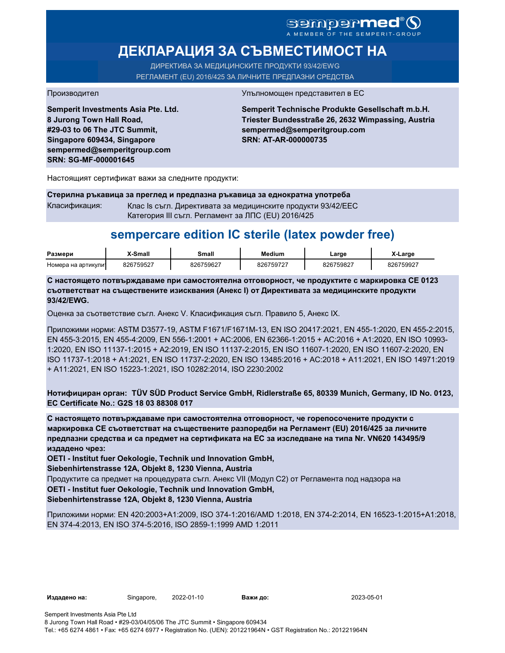### **sempermed** A MEMBER OF THE SEM

# **ДЕКЛАРАЦИЯ ЗА СЪВМЕСТИМОСТ НА**

ДИРЕКТИВА ЗА МЕДИЦИНСКИТЕ ПРОДУКТИ 93/42/EWG РЕГЛАМЕНТ (EU) 2016/425 ЗА ЛИЧНИТЕ ПРЕДПАЗНИ СРЕДСТВА

**Semperit Investments Asia Pte. Ltd. 8 Jurong Town Hall Road, #29-03 to 06 The JTC Summit, Singapore 609434, Singapore sempermed@semperitgroup.com SRN: SG-MF-000001645**

#### Производител Упълномощен представител в ЕС

**Semperit Technische Produkte Gesellschaft m.b.H. Triester Bundesstraße 26, 2632 Wimpassing, Austria sempermed@semperitgroup.com SRN: AT-AR-000000735**

Настоящият сертификат важи за следните продукти:

#### **Стерилна ръкавица за преглед и предпазна ръкавица за еднократна употреба**

Класификация: Клас Is съгл. Директивата за медицинските продукти 93/42/EEC Категория III съгл. Регламент за ЛПС (EU) 2016/425

## **sempercare edition IC sterile (latex powder free)**

| Размери            | X-Small   | <b>3mall</b> | <b>Medium</b> | ∟arɑe     | _arge     |
|--------------------|-----------|--------------|---------------|-----------|-----------|
| Номера на артикули | 826759527 | 826759627    | 826759727     | 826759827 | 826759927 |

**С настоящето потвърждаваме при самостоятелна отговорност, че продуктите с маркировка СЕ 0123 съответстват на съществените изисквания (Анекс I) от Директивата за медицинските продукти 93/42/EWG.**

Оценка за съответствие съгл. Анекс V. Класификация съгл. Правило 5, Анекс IX.

Приложими норми: ASTM D3577-19, ASTM F1671/F1671M-13, EN ISO 20417:2021, EN 455-1:2020, EN 455-2:2015, EN 455-3:2015, EN 455-4:2009, EN 556-1:2001 + AC:2006, EN 62366-1:2015 + AC:2016 + A1:2020, EN ISO 10993- 1:2020, EN ISO 11137-1:2015 + A2:2019, EN ISO 11137-2:2015, EN ISO 11607-1:2020, EN ISO 11607-2:2020, EN ISO 11737-1:2018 + A1:2021, EN ISO 11737-2:2020, EN ISO 13485:2016 + AC:2018 + A11:2021, EN ISO 14971:2019 + A11:2021, EN ISO 15223-1:2021, ISO 10282:2014, ISO 2230:2002

**Нотифициран орган: TÜV SÜD Product Service GmbH, Ridlerstraße 65, 80339 Munich, Germany, ID No. 0123, EC Certificate No.: G2S 18 03 88308 017**

**С настоящето потвърждаваме при самостоятелна отговорност, че горепосочените продукти с маркировка СЕ съответстват на съществените разпоредби на Регламент (EU) 2016/425 за личните предпазни средства и са предмет на сертификата на ЕС за изследване на типа Nr. VN620 143495/9 издадено чрез:**

**OETI - Institut fuer Oekologie, Technik und Innovation GmbH,** 

**Siebenhirtenstrasse 12A, Objekt 8, 1230 Vienna, Austria**

Продуктите са предмет на процедурата съгл. Анекс VII (Модул С2) от Регламента под надзора на

#### **OETI - Institut fuer Oekologie, Technik und Innovation GmbH,**

**Siebenhirtenstrasse 12A, Objekt 8, 1230 Vienna, Austria**

Приложими норми: EN 420:2003+A1:2009, ISO 374-1:2016/AMD 1:2018, EN 374-2:2014, EN 16523-1:2015+A1:2018, EN 374-4:2013, EN ISO 374-5:2016, ISO 2859-1:1999 AMD 1:2011